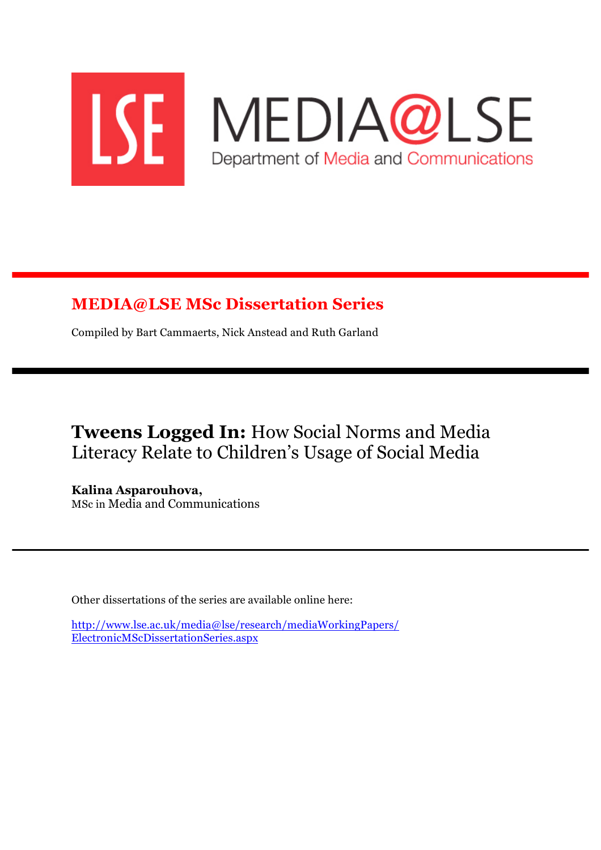

## **MEDIA@LSE MSc Dissertation Series**

Compiled by Bart Cammaerts, Nick Anstead and Ruth Garland

**Tweens Logged In:** How Social Norms and Media Literacy Relate to Children's Usage of Social Media

**Kalina Asparouhova,** MSc in Media and Communications

Other dissertations of the series are available online here:

http://www.lse.ac.uk/media@lse/research/mediaWorkingPapers/ ElectronicMScDissertationSeries.aspx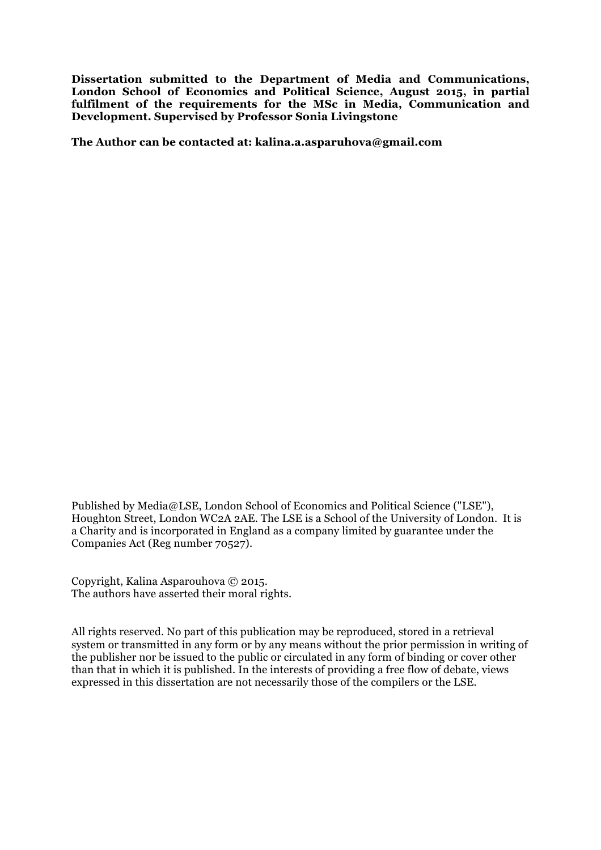**Dissertation submitted to the Department of Media and Communications, London School of Economics and Political Science, August 2015, in partial fulfilment of the requirements for the MSc in Media, Communication and Development. Supervised by Professor Sonia Livingstone**

**The Author can be contacted at: kalina.a.asparuhova@gmail.com**

Published by Media@LSE, London School of Economics and Political Science ("LSE"), Houghton Street, London WC2A 2AE. The LSE is a School of the University of London. It is a Charity and is incorporated in England as a company limited by guarantee under the Companies Act (Reg number 70527).

Copyright, Kalina Asparouhova © 2015. The authors have asserted their moral rights.

All rights reserved. No part of this publication may be reproduced, stored in a retrieval system or transmitted in any form or by any means without the prior permission in writing of the publisher nor be issued to the public or circulated in any form of binding or cover other than that in which it is published. In the interests of providing a free flow of debate, views expressed in this dissertation are not necessarily those of the compilers or the LSE.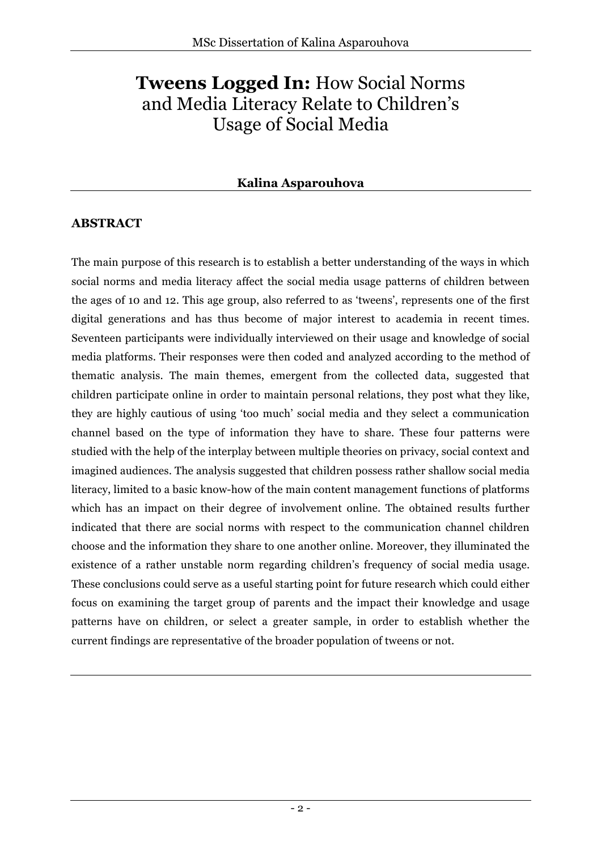# **Tweens Logged In:** How Social Norms and Media Literacy Relate to Children's Usage of Social Media

## **Kalina Asparouhova**

## **ABSTRACT**

The main purpose of this research is to establish a better understanding of the ways in which social norms and media literacy affect the social media usage patterns of children between the ages of 10 and 12. This age group, also referred to as 'tweens', represents one of the first digital generations and has thus become of major interest to academia in recent times. Seventeen participants were individually interviewed on their usage and knowledge of social media platforms. Their responses were then coded and analyzed according to the method of thematic analysis. The main themes, emergent from the collected data, suggested that children participate online in order to maintain personal relations, they post what they like, they are highly cautious of using 'too much' social media and they select a communication channel based on the type of information they have to share. These four patterns were studied with the help of the interplay between multiple theories on privacy, social context and imagined audiences. The analysis suggested that children possess rather shallow social media literacy, limited to a basic know-how of the main content management functions of platforms which has an impact on their degree of involvement online. The obtained results further indicated that there are social norms with respect to the communication channel children choose and the information they share to one another online. Moreover, they illuminated the existence of a rather unstable norm regarding children's frequency of social media usage. These conclusions could serve as a useful starting point for future research which could either focus on examining the target group of parents and the impact their knowledge and usage patterns have on children, or select a greater sample, in order to establish whether the current findings are representative of the broader population of tweens or not.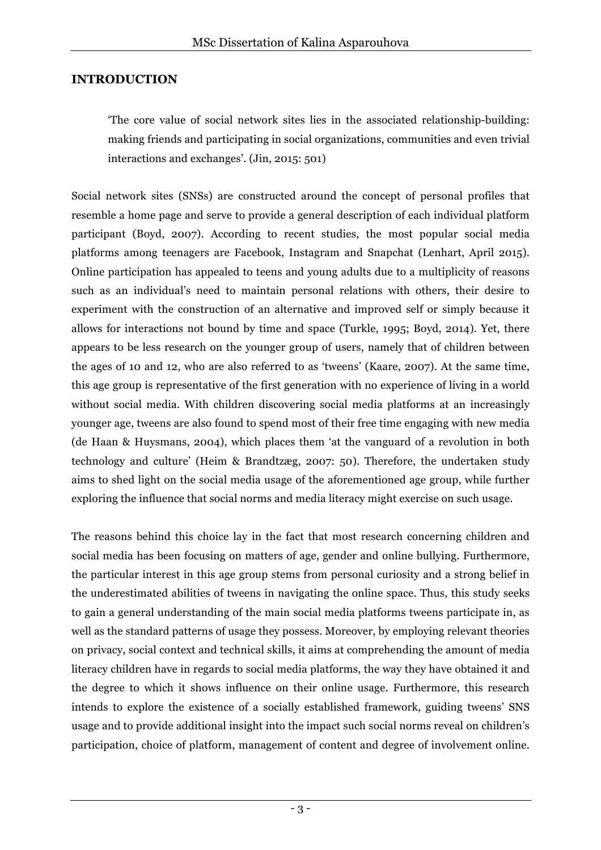## **INTRODUCTION**

'The core value of social network sites lies in the associated relationship-building: making friends and participating in social organizations, communities and even trivial interactions and exchanges'. (Jin, 2015: 501)

Social network sites (SNSs) are constructed around the concept of personal profiles that resemble a home page and serve to provide a general description of each individual platform participant (Boyd, 2007). According to recent studies, the most popular social media platforms among teenagers are Facebook, Instagram and Snapchat (Lenhart, April 2015). Online participation has appealed to teens and young adults due to a multiplicity of reasons such as an individual's need to maintain personal relations with others, their desire to experiment with the construction of an alternative and improved self or simply because it allows for interactions not bound by time and space (Turkle, 1995; Boyd, 2014). Yet, there appears to be less research on the younger group of users, namely that of children between the ages of 10 and 12, who are also referred to as 'tweens' (Kaare, 2007). At the same time, this age group is representative of the first generation with no experience of living in a world without social media. With children discovering social media platforms at an increasingly younger age, tweens are also found to spend most of their free time engaging with new media (de Haan & Huysmans, 2004), which places them 'at the vanguard of a revolution in both technology and culture' (Heim & Brandtzæg, 2007: 50). Therefore, the undertaken study aims to shed light on the social media usage of the aforementioned age group, while further exploring the influence that social norms and media literacy might exercise on such usage.

The reasons behind this choice lay in the fact that most research concerning children and social media has been focusing on matters of age, gender and online bullying. Furthermore, the particular interest in this age group stems from personal curiosity and a strong belief in the underestimated abilities of tweens in navigating the online space. Thus, this study seeks to gain a general understanding of the main social media platforms tweens participate in, as well as the standard patterns of usage they possess. Moreover, by employing relevant theories on privacy, social context and technical skills, it aims at comprehending the amount of media literacy children have in regards to social media platforms, the way they have obtained it and the degree to which it shows influence on their online usage. Furthermore, this research intends to explore the existence of a socially established framework, guiding tweens' SNS usage and to provide additional insight into the impact such social norms reveal on children's participation, choice of platform, management of content and degree of involvement online.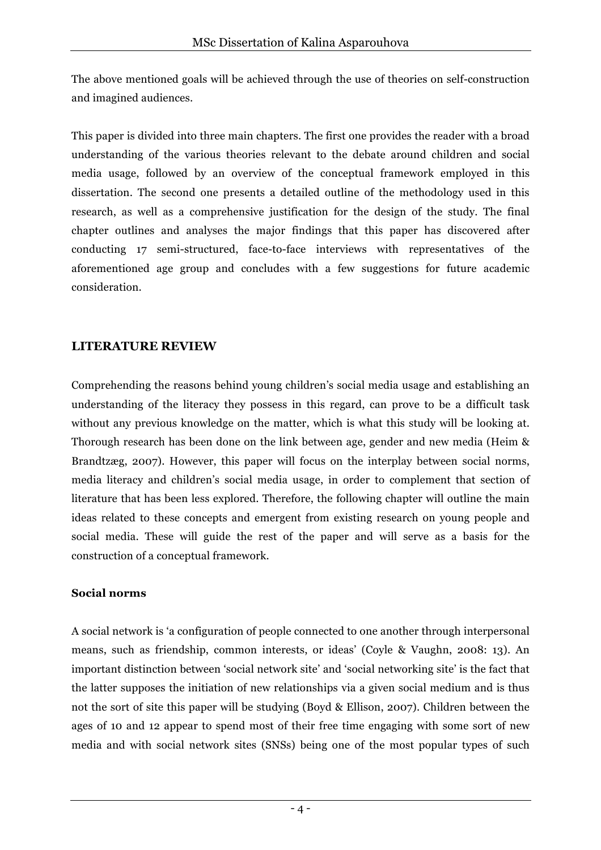The above mentioned goals will be achieved through the use of theories on self-construction and imagined audiences.

This paper is divided into three main chapters. The first one provides the reader with a broad understanding of the various theories relevant to the debate around children and social media usage, followed by an overview of the conceptual framework employed in this dissertation. The second one presents a detailed outline of the methodology used in this research, as well as a comprehensive justification for the design of the study. The final chapter outlines and analyses the major findings that this paper has discovered after conducting 17 semi-structured, face-to-face interviews with representatives of the aforementioned age group and concludes with a few suggestions for future academic consideration.

## **LITERATURE REVIEW**

Comprehending the reasons behind young children's social media usage and establishing an understanding of the literacy they possess in this regard, can prove to be a difficult task without any previous knowledge on the matter, which is what this study will be looking at. Thorough research has been done on the link between age, gender and new media (Heim & Brandtzæg, 2007). However, this paper will focus on the interplay between social norms, media literacy and children's social media usage, in order to complement that section of literature that has been less explored. Therefore, the following chapter will outline the main ideas related to these concepts and emergent from existing research on young people and social media. These will guide the rest of the paper and will serve as a basis for the construction of a conceptual framework.

#### **Social norms**

A social network is 'a configuration of people connected to one another through interpersonal means, such as friendship, common interests, or ideas' (Coyle & Vaughn, 2008: 13). An important distinction between 'social network site' and 'social networking site' is the fact that the latter supposes the initiation of new relationships via a given social medium and is thus not the sort of site this paper will be studying (Boyd & Ellison, 2007). Children between the ages of 10 and 12 appear to spend most of their free time engaging with some sort of new media and with social network sites (SNSs) being one of the most popular types of such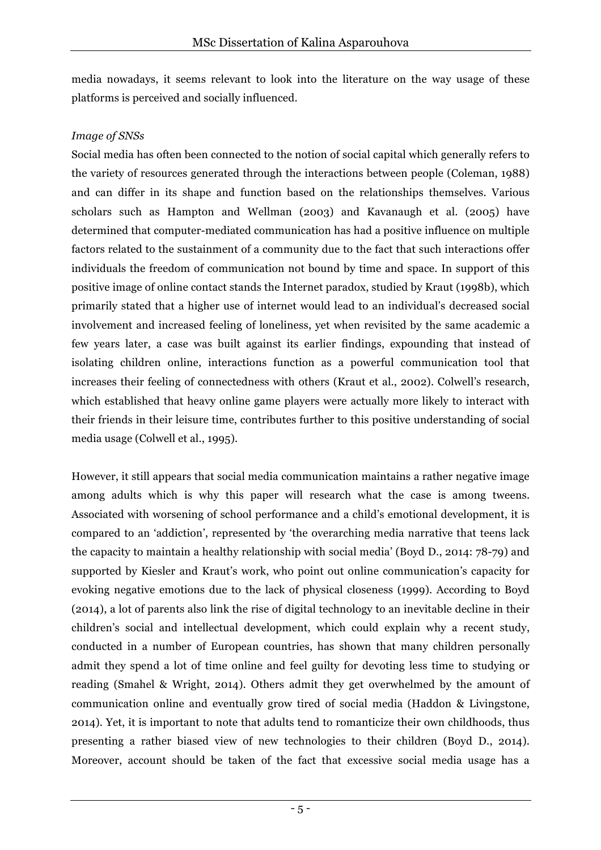media nowadays, it seems relevant to look into the literature on the way usage of these platforms is perceived and socially influenced.

#### *Image of SNSs*

Social media has often been connected to the notion of social capital which generally refers to the variety of resources generated through the interactions between people (Coleman, 1988) and can differ in its shape and function based on the relationships themselves. Various scholars such as Hampton and Wellman (2003) and Kavanaugh et al. (2005) have determined that computer-mediated communication has had a positive influence on multiple factors related to the sustainment of a community due to the fact that such interactions offer individuals the freedom of communication not bound by time and space. In support of this positive image of online contact stands the Internet paradox, studied by Kraut (1998b), which primarily stated that a higher use of internet would lead to an individual's decreased social involvement and increased feeling of loneliness, yet when revisited by the same academic a few years later, a case was built against its earlier findings, expounding that instead of isolating children online, interactions function as a powerful communication tool that increases their feeling of connectedness with others (Kraut et al., 2002). Colwell's research, which established that heavy online game players were actually more likely to interact with their friends in their leisure time, contributes further to this positive understanding of social media usage (Colwell et al., 1995).

However, it still appears that social media communication maintains a rather negative image among adults which is why this paper will research what the case is among tweens. Associated with worsening of school performance and a child's emotional development, it is compared to an 'addiction', represented by 'the overarching media narrative that teens lack the capacity to maintain a healthy relationship with social media' (Boyd D., 2014: 78-79) and supported by Kiesler and Kraut's work, who point out online communication's capacity for evoking negative emotions due to the lack of physical closeness (1999). According to Boyd (2014), a lot of parents also link the rise of digital technology to an inevitable decline in their children's social and intellectual development, which could explain why a recent study, conducted in a number of European countries, has shown that many children personally admit they spend a lot of time online and feel guilty for devoting less time to studying or reading (Smahel & Wright, 2014). Others admit they get overwhelmed by the amount of communication online and eventually grow tired of social media (Haddon & Livingstone, 2014). Yet, it is important to note that adults tend to romanticize their own childhoods, thus presenting a rather biased view of new technologies to their children (Boyd D., 2014). Moreover, account should be taken of the fact that excessive social media usage has a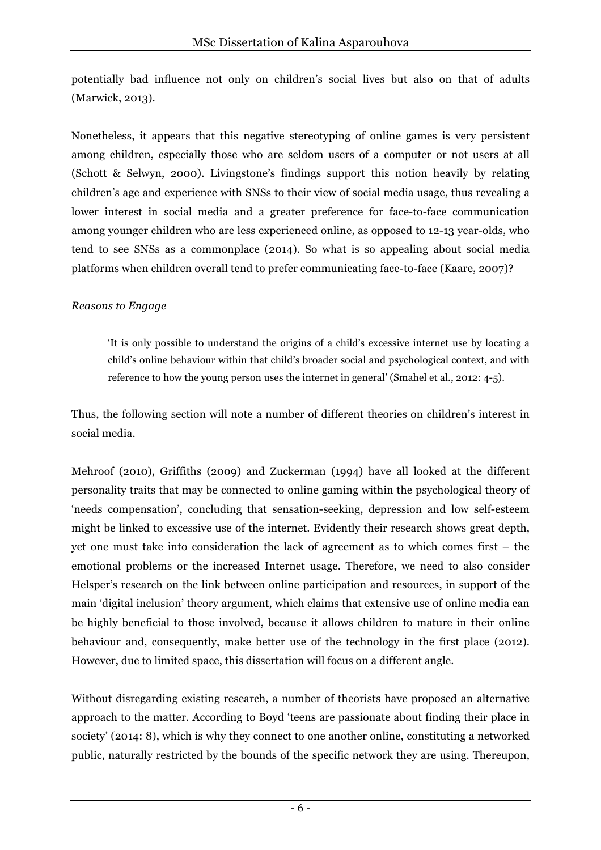potentially bad influence not only on children's social lives but also on that of adults (Marwick, 2013).

Nonetheless, it appears that this negative stereotyping of online games is very persistent among children, especially those who are seldom users of a computer or not users at all (Schott & Selwyn, 2000). Livingstone's findings support this notion heavily by relating children's age and experience with SNSs to their view of social media usage, thus revealing a lower interest in social media and a greater preference for face-to-face communication among younger children who are less experienced online, as opposed to 12-13 year-olds, who tend to see SNSs as a commonplace (2014). So what is so appealing about social media platforms when children overall tend to prefer communicating face-to-face (Kaare, 2007)?

#### *Reasons to Engage*

'It is only possible to understand the origins of a child's excessive internet use by locating a child's online behaviour within that child's broader social and psychological context, and with reference to how the young person uses the internet in general' (Smahel et al., 2012: 4-5).

Thus, the following section will note a number of different theories on children's interest in social media.

Mehroof (2010), Griffiths (2009) and Zuckerman (1994) have all looked at the different personality traits that may be connected to online gaming within the psychological theory of 'needs compensation', concluding that sensation-seeking, depression and low self-esteem might be linked to excessive use of the internet. Evidently their research shows great depth, yet one must take into consideration the lack of agreement as to which comes first – the emotional problems or the increased Internet usage. Therefore, we need to also consider Helsper's research on the link between online participation and resources, in support of the main 'digital inclusion' theory argument, which claims that extensive use of online media can be highly beneficial to those involved, because it allows children to mature in their online behaviour and, consequently, make better use of the technology in the first place (2012). However, due to limited space, this dissertation will focus on a different angle.

Without disregarding existing research, a number of theorists have proposed an alternative approach to the matter. According to Boyd 'teens are passionate about finding their place in society' (2014: 8), which is why they connect to one another online, constituting a networked public, naturally restricted by the bounds of the specific network they are using. Thereupon,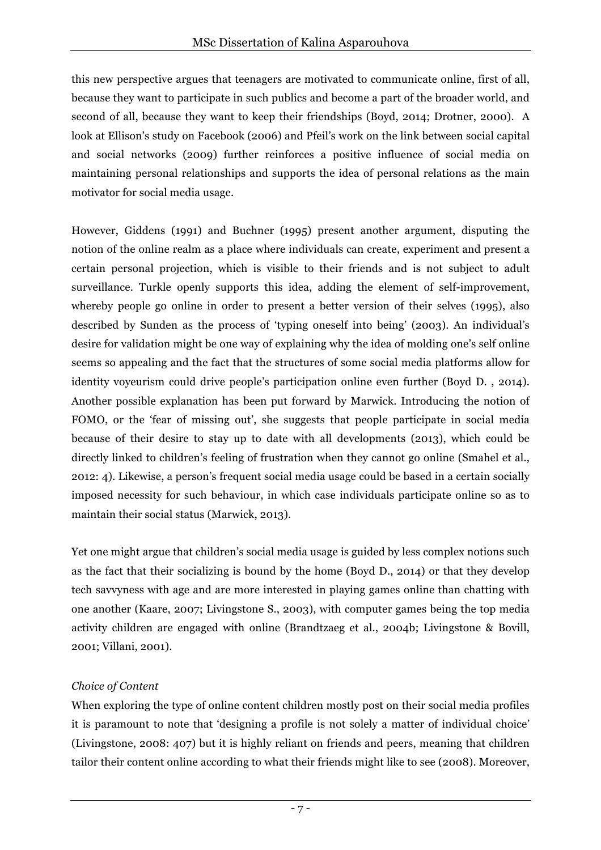this new perspective argues that teenagers are motivated to communicate online, first of all, because they want to participate in such publics and become a part of the broader world, and second of all, because they want to keep their friendships (Boyd, 2014; Drotner, 2000). A look at Ellison's study on Facebook (2006) and Pfeil's work on the link between social capital and social networks (2009) further reinforces a positive influence of social media on maintaining personal relationships and supports the idea of personal relations as the main motivator for social media usage.

However, Giddens (1991) and Buchner (1995) present another argument, disputing the notion of the online realm as a place where individuals can create, experiment and present a certain personal projection, which is visible to their friends and is not subject to adult surveillance. Turkle openly supports this idea, adding the element of self-improvement, whereby people go online in order to present a better version of their selves (1995), also described by Sunden as the process of 'typing oneself into being' (2003). An individual's desire for validation might be one way of explaining why the idea of molding one's self online seems so appealing and the fact that the structures of some social media platforms allow for identity voyeurism could drive people's participation online even further (Boyd D. , 2014). Another possible explanation has been put forward by Marwick. Introducing the notion of FOMO, or the 'fear of missing out', she suggests that people participate in social media because of their desire to stay up to date with all developments (2013), which could be directly linked to children's feeling of frustration when they cannot go online (Smahel et al., 2012: 4). Likewise, a person's frequent social media usage could be based in a certain socially imposed necessity for such behaviour, in which case individuals participate online so as to maintain their social status (Marwick, 2013).

Yet one might argue that children's social media usage is guided by less complex notions such as the fact that their socializing is bound by the home (Boyd D., 2014) or that they develop tech savvyness with age and are more interested in playing games online than chatting with one another (Kaare, 2007; Livingstone S., 2003), with computer games being the top media activity children are engaged with online (Brandtzaeg et al., 2004b; Livingstone & Bovill, 2001; Villani, 2001).

#### *Choice of Content*

When exploring the type of online content children mostly post on their social media profiles it is paramount to note that 'designing a profile is not solely a matter of individual choice' (Livingstone, 2008: 407) but it is highly reliant on friends and peers, meaning that children tailor their content online according to what their friends might like to see (2008). Moreover,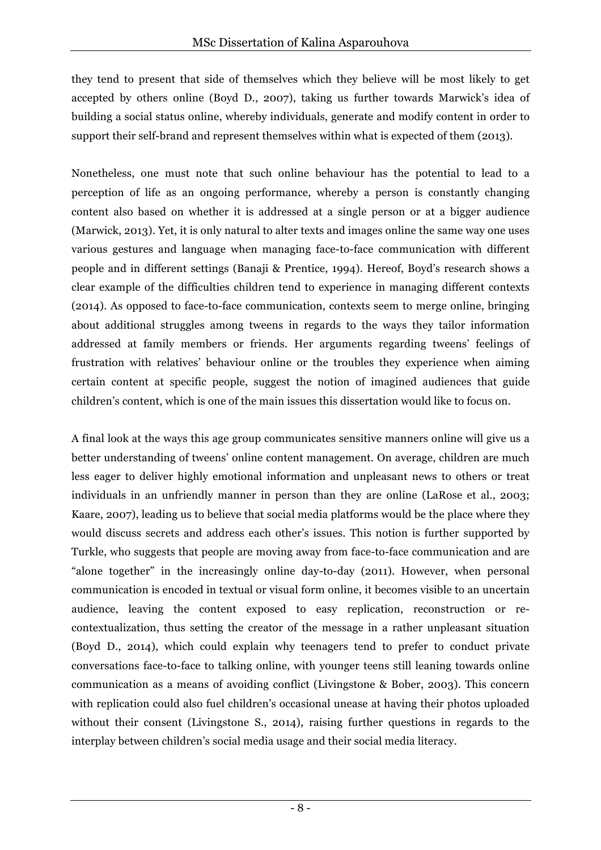they tend to present that side of themselves which they believe will be most likely to get accepted by others online (Boyd D., 2007), taking us further towards Marwick's idea of building a social status online, whereby individuals, generate and modify content in order to support their self-brand and represent themselves within what is expected of them (2013).

Nonetheless, one must note that such online behaviour has the potential to lead to a perception of life as an ongoing performance, whereby a person is constantly changing content also based on whether it is addressed at a single person or at a bigger audience (Marwick, 2013). Yet, it is only natural to alter texts and images online the same way one uses various gestures and language when managing face-to-face communication with different people and in different settings (Banaji & Prentice, 1994). Hereof, Boyd's research shows a clear example of the difficulties children tend to experience in managing different contexts (2014). As opposed to face-to-face communication, contexts seem to merge online, bringing about additional struggles among tweens in regards to the ways they tailor information addressed at family members or friends. Her arguments regarding tweens' feelings of frustration with relatives' behaviour online or the troubles they experience when aiming certain content at specific people, suggest the notion of imagined audiences that guide children's content, which is one of the main issues this dissertation would like to focus on.

A final look at the ways this age group communicates sensitive manners online will give us a better understanding of tweens' online content management. On average, children are much less eager to deliver highly emotional information and unpleasant news to others or treat individuals in an unfriendly manner in person than they are online (LaRose et al., 2003; Kaare, 2007), leading us to believe that social media platforms would be the place where they would discuss secrets and address each other's issues. This notion is further supported by Turkle, who suggests that people are moving away from face-to-face communication and are "alone together" in the increasingly online day-to-day (2011). However, when personal communication is encoded in textual or visual form online, it becomes visible to an uncertain audience, leaving the content exposed to easy replication, reconstruction or recontextualization, thus setting the creator of the message in a rather unpleasant situation (Boyd D., 2014), which could explain why teenagers tend to prefer to conduct private conversations face-to-face to talking online, with younger teens still leaning towards online communication as a means of avoiding conflict (Livingstone & Bober, 2003). This concern with replication could also fuel children's occasional unease at having their photos uploaded without their consent (Livingstone S., 2014), raising further questions in regards to the interplay between children's social media usage and their social media literacy.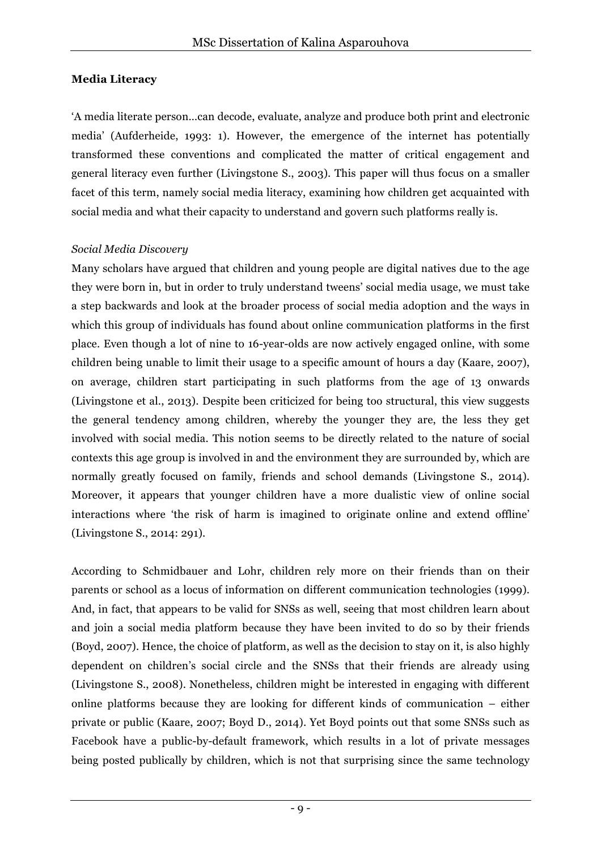#### **Media Literacy**

'A media literate person…can decode, evaluate, analyze and produce both print and electronic media' (Aufderheide, 1993: 1). However, the emergence of the internet has potentially transformed these conventions and complicated the matter of critical engagement and general literacy even further (Livingstone S., 2003). This paper will thus focus on a smaller facet of this term, namely social media literacy, examining how children get acquainted with social media and what their capacity to understand and govern such platforms really is.

#### *Social Media Discovery*

Many scholars have argued that children and young people are digital natives due to the age they were born in, but in order to truly understand tweens' social media usage, we must take a step backwards and look at the broader process of social media adoption and the ways in which this group of individuals has found about online communication platforms in the first place. Even though a lot of nine to 16-year-olds are now actively engaged online, with some children being unable to limit their usage to a specific amount of hours a day (Kaare, 2007), on average, children start participating in such platforms from the age of 13 onwards (Livingstone et al., 2013). Despite been criticized for being too structural, this view suggests the general tendency among children, whereby the younger they are, the less they get involved with social media. This notion seems to be directly related to the nature of social contexts this age group is involved in and the environment they are surrounded by, which are normally greatly focused on family, friends and school demands (Livingstone S., 2014). Moreover, it appears that younger children have a more dualistic view of online social interactions where 'the risk of harm is imagined to originate online and extend offline' (Livingstone S., 2014: 291).

According to Schmidbauer and Lohr, children rely more on their friends than on their parents or school as a locus of information on different communication technologies (1999). And, in fact, that appears to be valid for SNSs as well, seeing that most children learn about and join a social media platform because they have been invited to do so by their friends (Boyd, 2007). Hence, the choice of platform, as well as the decision to stay on it, is also highly dependent on children's social circle and the SNSs that their friends are already using (Livingstone S., 2008). Nonetheless, children might be interested in engaging with different online platforms because they are looking for different kinds of communication – either private or public (Kaare, 2007; Boyd D., 2014). Yet Boyd points out that some SNSs such as Facebook have a public-by-default framework, which results in a lot of private messages being posted publically by children, which is not that surprising since the same technology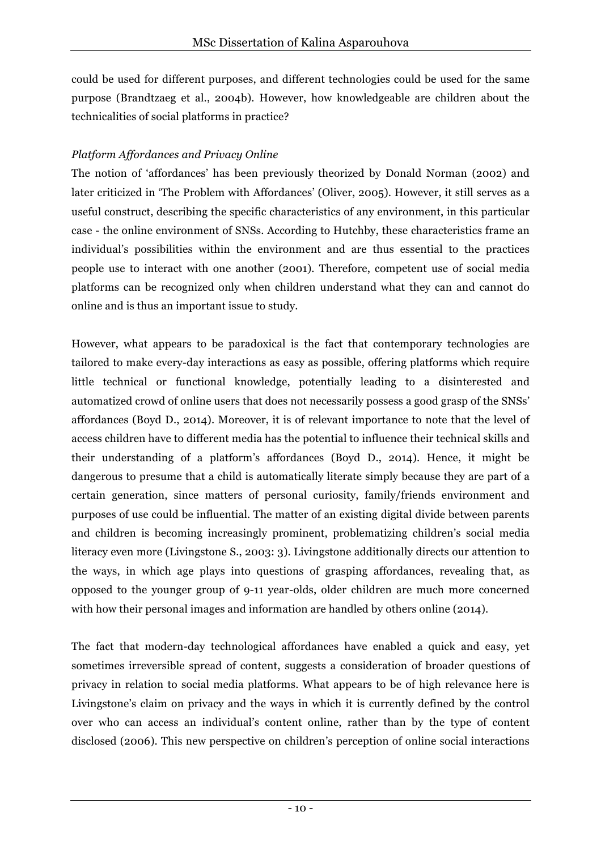could be used for different purposes, and different technologies could be used for the same purpose (Brandtzaeg et al., 2004b). However, how knowledgeable are children about the technicalities of social platforms in practice?

### *Platform Affordances and Privacy Online*

The notion of 'affordances' has been previously theorized by Donald Norman (2002) and later criticized in 'The Problem with Affordances' (Oliver, 2005). However, it still serves as a useful construct, describing the specific characteristics of any environment, in this particular case - the online environment of SNSs. According to Hutchby, these characteristics frame an individual's possibilities within the environment and are thus essential to the practices people use to interact with one another (2001). Therefore, competent use of social media platforms can be recognized only when children understand what they can and cannot do online and is thus an important issue to study.

However, what appears to be paradoxical is the fact that contemporary technologies are tailored to make every-day interactions as easy as possible, offering platforms which require little technical or functional knowledge, potentially leading to a disinterested and automatized crowd of online users that does not necessarily possess a good grasp of the SNSs' affordances (Boyd D., 2014). Moreover, it is of relevant importance to note that the level of access children have to different media has the potential to influence their technical skills and their understanding of a platform's affordances (Boyd D., 2014). Hence, it might be dangerous to presume that a child is automatically literate simply because they are part of a certain generation, since matters of personal curiosity, family/friends environment and purposes of use could be influential. The matter of an existing digital divide between parents and children is becoming increasingly prominent, problematizing children's social media literacy even more (Livingstone S., 2003: 3). Livingstone additionally directs our attention to the ways, in which age plays into questions of grasping affordances, revealing that, as opposed to the younger group of 9-11 year-olds, older children are much more concerned with how their personal images and information are handled by others online (2014).

The fact that modern-day technological affordances have enabled a quick and easy, yet sometimes irreversible spread of content, suggests a consideration of broader questions of privacy in relation to social media platforms. What appears to be of high relevance here is Livingstone's claim on privacy and the ways in which it is currently defined by the control over who can access an individual's content online, rather than by the type of content disclosed (2006). This new perspective on children's perception of online social interactions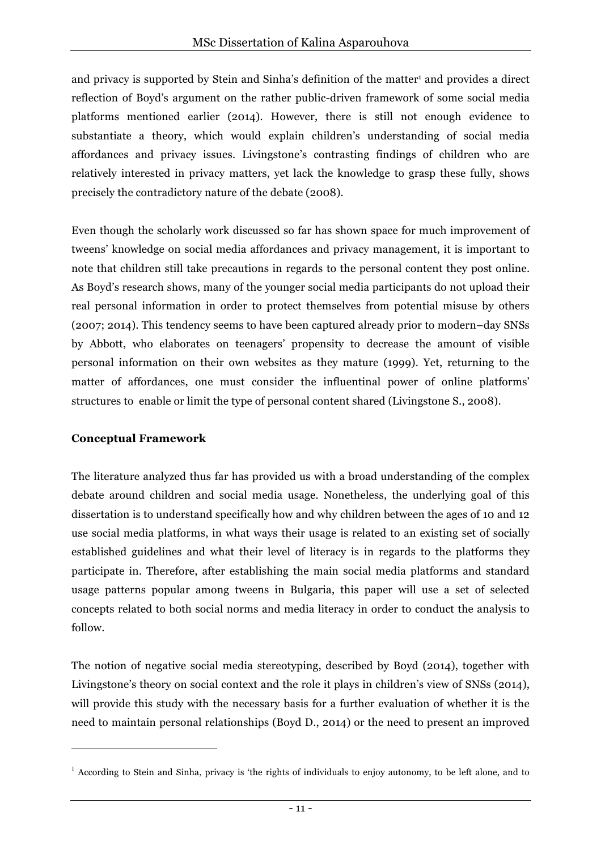and privacy is supported by Stein and Sinha's definition of the matter<sup>1</sup> and provides a direct reflection of Boyd's argument on the rather public-driven framework of some social media platforms mentioned earlier (2014). However, there is still not enough evidence to substantiate a theory, which would explain children's understanding of social media affordances and privacy issues. Livingstone's contrasting findings of children who are relatively interested in privacy matters, yet lack the knowledge to grasp these fully, shows precisely the contradictory nature of the debate (2008).

Even though the scholarly work discussed so far has shown space for much improvement of tweens' knowledge on social media affordances and privacy management, it is important to note that children still take precautions in regards to the personal content they post online. As Boyd's research shows, many of the younger social media participants do not upload their real personal information in order to protect themselves from potential misuse by others (2007; 2014). This tendency seems to have been captured already prior to modern–day SNSs by Abbott, who elaborates on teenagers' propensity to decrease the amount of visible personal information on their own websites as they mature (1999). Yet, returning to the matter of affordances, one must consider the influentinal power of online platforms' structures to enable or limit the type of personal content shared (Livingstone S., 2008).

#### **Conceptual Framework**

 $\overline{a}$ 

The literature analyzed thus far has provided us with a broad understanding of the complex debate around children and social media usage. Nonetheless, the underlying goal of this dissertation is to understand specifically how and why children between the ages of 10 and 12 use social media platforms, in what ways their usage is related to an existing set of socially established guidelines and what their level of literacy is in regards to the platforms they participate in. Therefore, after establishing the main social media platforms and standard usage patterns popular among tweens in Bulgaria, this paper will use a set of selected concepts related to both social norms and media literacy in order to conduct the analysis to follow.

The notion of negative social media stereotyping, described by Boyd (2014), together with Livingstone's theory on social context and the role it plays in children's view of SNSs (2014), will provide this study with the necessary basis for a further evaluation of whether it is the need to maintain personal relationships (Boyd D., 2014) or the need to present an improved

<sup>&</sup>lt;sup>1</sup> According to Stein and Sinha, privacy is 'the rights of individuals to enjoy autonomy, to be left alone, and to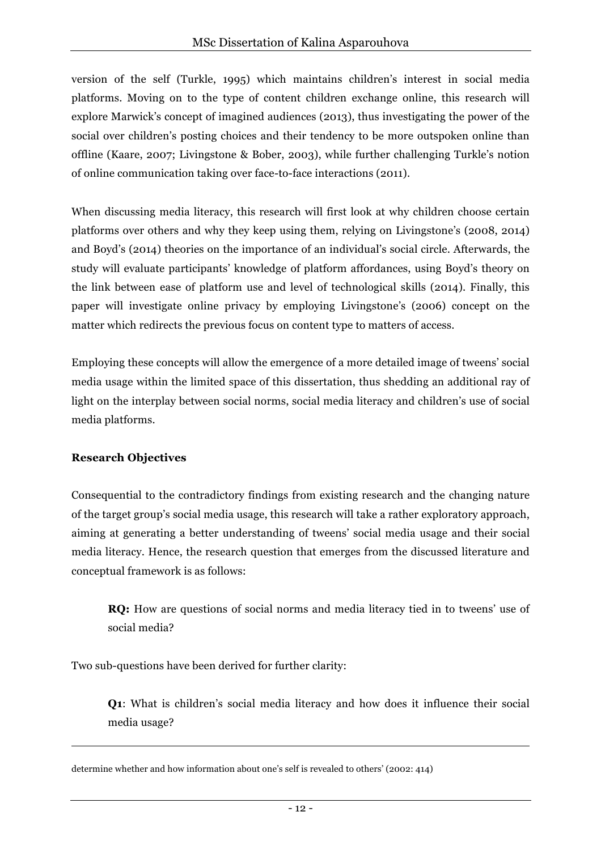version of the self (Turkle, 1995) which maintains children's interest in social media platforms. Moving on to the type of content children exchange online, this research will explore Marwick's concept of imagined audiences (2013), thus investigating the power of the social over children's posting choices and their tendency to be more outspoken online than offline (Kaare, 2007; Livingstone & Bober, 2003), while further challenging Turkle's notion of online communication taking over face-to-face interactions (2011).

When discussing media literacy, this research will first look at why children choose certain platforms over others and why they keep using them, relying on Livingstone's (2008, 2014) and Boyd's (2014) theories on the importance of an individual's social circle. Afterwards, the study will evaluate participants' knowledge of platform affordances, using Boyd's theory on the link between ease of platform use and level of technological skills (2014). Finally, this paper will investigate online privacy by employing Livingstone's (2006) concept on the matter which redirects the previous focus on content type to matters of access.

Employing these concepts will allow the emergence of a more detailed image of tweens' social media usage within the limited space of this dissertation, thus shedding an additional ray of light on the interplay between social norms, social media literacy and children's use of social media platforms.

#### **Research Objectives**

-

Consequential to the contradictory findings from existing research and the changing nature of the target group's social media usage, this research will take a rather exploratory approach, aiming at generating a better understanding of tweens' social media usage and their social media literacy. Hence, the research question that emerges from the discussed literature and conceptual framework is as follows:

**RQ:** How are questions of social norms and media literacy tied in to tweens' use of social media?

Two sub-questions have been derived for further clarity:

**Q1**: What is children's social media literacy and how does it influence their social media usage?

determine whether and how information about one's self is revealed to others' (2002: 414)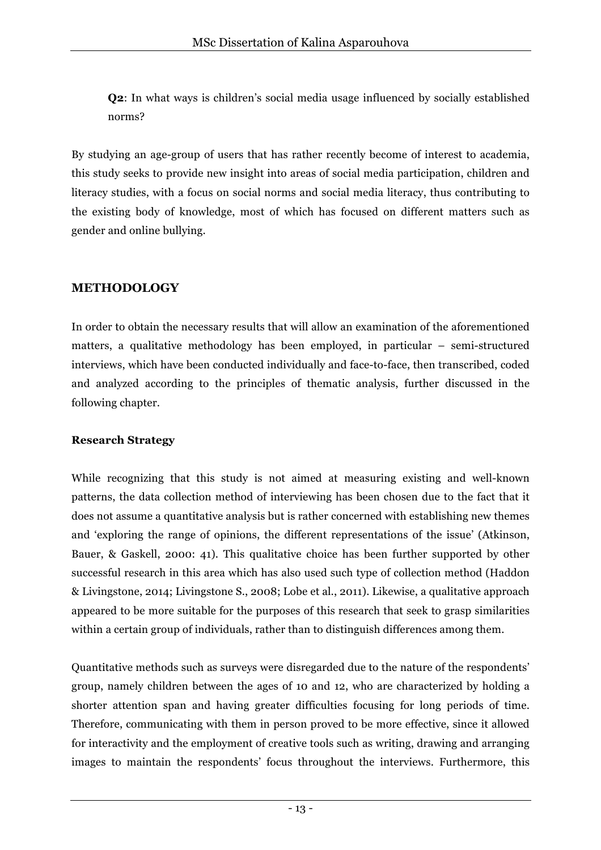**Q2**: In what ways is children's social media usage influenced by socially established norms?

By studying an age-group of users that has rather recently become of interest to academia, this study seeks to provide new insight into areas of social media participation, children and literacy studies, with a focus on social norms and social media literacy, thus contributing to the existing body of knowledge, most of which has focused on different matters such as gender and online bullying.

## **METHODOLOGY**

In order to obtain the necessary results that will allow an examination of the aforementioned matters, a qualitative methodology has been employed, in particular – semi-structured interviews, which have been conducted individually and face-to-face, then transcribed, coded and analyzed according to the principles of thematic analysis, further discussed in the following chapter.

#### **Research Strategy**

While recognizing that this study is not aimed at measuring existing and well-known patterns, the data collection method of interviewing has been chosen due to the fact that it does not assume a quantitative analysis but is rather concerned with establishing new themes and 'exploring the range of opinions, the different representations of the issue' (Atkinson, Bauer, & Gaskell, 2000: 41). This qualitative choice has been further supported by other successful research in this area which has also used such type of collection method (Haddon & Livingstone, 2014; Livingstone S., 2008; Lobe et al., 2011). Likewise, a qualitative approach appeared to be more suitable for the purposes of this research that seek to grasp similarities within a certain group of individuals, rather than to distinguish differences among them.

Quantitative methods such as surveys were disregarded due to the nature of the respondents' group, namely children between the ages of 10 and 12, who are characterized by holding a shorter attention span and having greater difficulties focusing for long periods of time. Therefore, communicating with them in person proved to be more effective, since it allowed for interactivity and the employment of creative tools such as writing, drawing and arranging images to maintain the respondents' focus throughout the interviews. Furthermore, this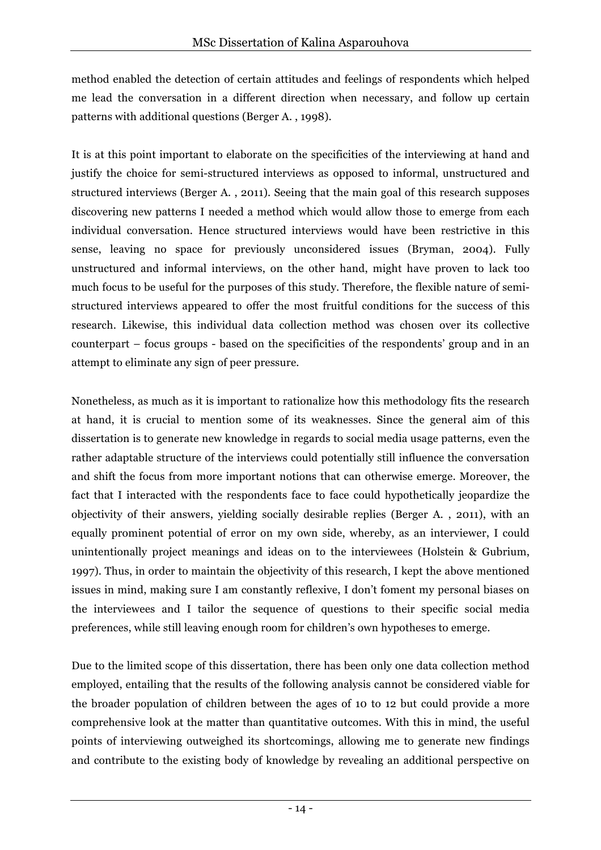method enabled the detection of certain attitudes and feelings of respondents which helped me lead the conversation in a different direction when necessary, and follow up certain patterns with additional questions (Berger A. , 1998).

It is at this point important to elaborate on the specificities of the interviewing at hand and justify the choice for semi-structured interviews as opposed to informal, unstructured and structured interviews (Berger A. , 2011). Seeing that the main goal of this research supposes discovering new patterns I needed a method which would allow those to emerge from each individual conversation. Hence structured interviews would have been restrictive in this sense, leaving no space for previously unconsidered issues (Bryman, 2004). Fully unstructured and informal interviews, on the other hand, might have proven to lack too much focus to be useful for the purposes of this study. Therefore, the flexible nature of semistructured interviews appeared to offer the most fruitful conditions for the success of this research. Likewise, this individual data collection method was chosen over its collective counterpart – focus groups - based on the specificities of the respondents' group and in an attempt to eliminate any sign of peer pressure.

Nonetheless, as much as it is important to rationalize how this methodology fits the research at hand, it is crucial to mention some of its weaknesses. Since the general aim of this dissertation is to generate new knowledge in regards to social media usage patterns, even the rather adaptable structure of the interviews could potentially still influence the conversation and shift the focus from more important notions that can otherwise emerge. Moreover, the fact that I interacted with the respondents face to face could hypothetically jeopardize the objectivity of their answers, yielding socially desirable replies (Berger A. , 2011), with an equally prominent potential of error on my own side, whereby, as an interviewer, I could unintentionally project meanings and ideas on to the interviewees (Holstein & Gubrium, 1997). Thus, in order to maintain the objectivity of this research, I kept the above mentioned issues in mind, making sure I am constantly reflexive, I don't foment my personal biases on the interviewees and I tailor the sequence of questions to their specific social media preferences, while still leaving enough room for children's own hypotheses to emerge.

Due to the limited scope of this dissertation, there has been only one data collection method employed, entailing that the results of the following analysis cannot be considered viable for the broader population of children between the ages of 10 to 12 but could provide a more comprehensive look at the matter than quantitative outcomes. With this in mind, the useful points of interviewing outweighed its shortcomings, allowing me to generate new findings and contribute to the existing body of knowledge by revealing an additional perspective on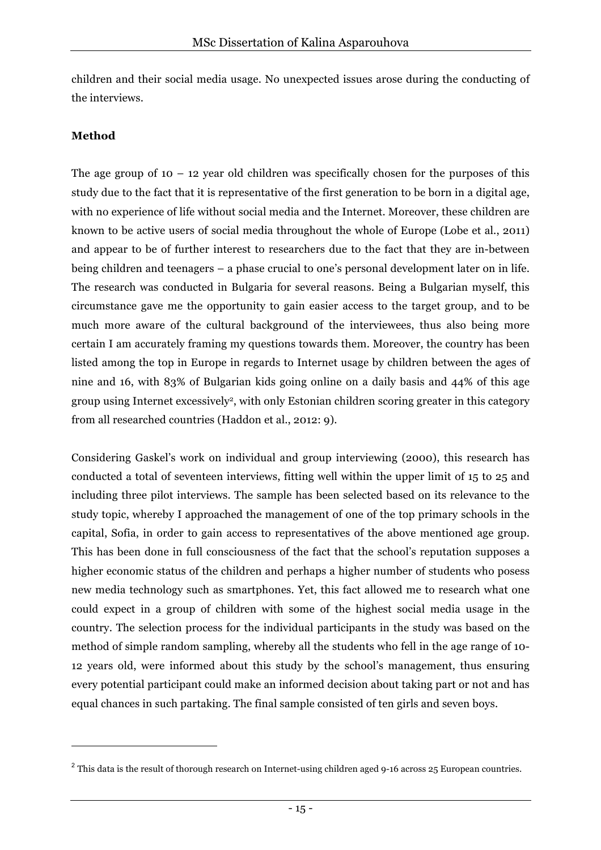children and their social media usage. No unexpected issues arose during the conducting of the interviews.

#### **Method**

 $\overline{a}$ 

The age group of  $10 - 12$  year old children was specifically chosen for the purposes of this study due to the fact that it is representative of the first generation to be born in a digital age, with no experience of life without social media and the Internet. Moreover, these children are known to be active users of social media throughout the whole of Europe (Lobe et al., 2011) and appear to be of further interest to researchers due to the fact that they are in-between being children and teenagers – a phase crucial to one's personal development later on in life. The research was conducted in Bulgaria for several reasons. Being a Bulgarian myself, this circumstance gave me the opportunity to gain easier access to the target group, and to be much more aware of the cultural background of the interviewees, thus also being more certain I am accurately framing my questions towards them. Moreover, the country has been listed among the top in Europe in regards to Internet usage by children between the ages of nine and 16, with 83% of Bulgarian kids going online on a daily basis and 44% of this age group using Internet excessively2, with only Estonian children scoring greater in this category from all researched countries (Haddon et al., 2012: 9).

Considering Gaskel's work on individual and group interviewing (2000), this research has conducted a total of seventeen interviews, fitting well within the upper limit of 15 to 25 and including three pilot interviews. The sample has been selected based on its relevance to the study topic, whereby I approached the management of one of the top primary schools in the capital, Sofia, in order to gain access to representatives of the above mentioned age group. This has been done in full consciousness of the fact that the school's reputation supposes a higher economic status of the children and perhaps a higher number of students who posess new media technology such as smartphones. Yet, this fact allowed me to research what one could expect in a group of children with some of the highest social media usage in the country. The selection process for the individual participants in the study was based on the method of simple random sampling, whereby all the students who fell in the age range of 10- 12 years old, were informed about this study by the school's management, thus ensuring every potential participant could make an informed decision about taking part or not and has equal chances in such partaking. The final sample consisted of ten girls and seven boys.

 $2$  This data is the result of thorough research on Internet-using children aged 9-16 across 25 European countries.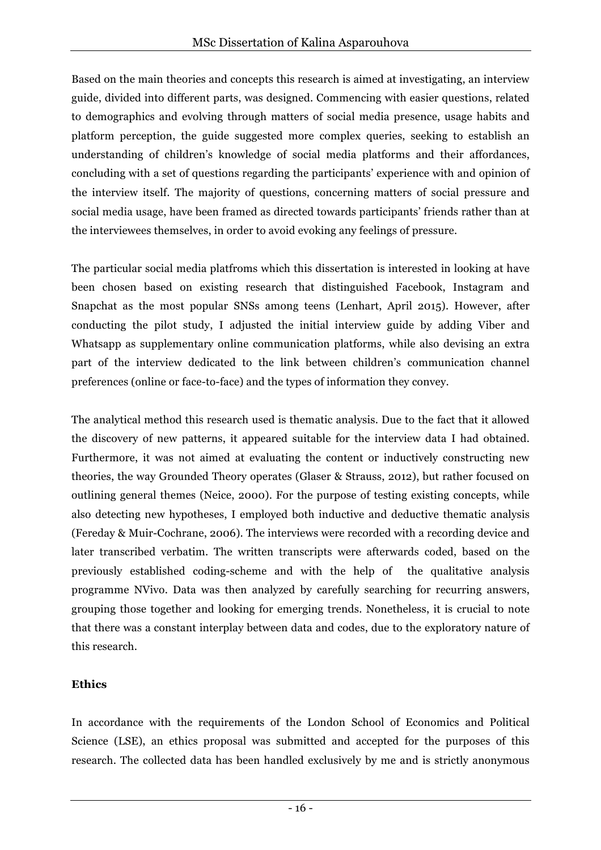Based on the main theories and concepts this research is aimed at investigating, an interview guide, divided into different parts, was designed. Commencing with easier questions, related to demographics and evolving through matters of social media presence, usage habits and platform perception, the guide suggested more complex queries, seeking to establish an understanding of children's knowledge of social media platforms and their affordances, concluding with a set of questions regarding the participants' experience with and opinion of the interview itself. The majority of questions, concerning matters of social pressure and social media usage, have been framed as directed towards participants' friends rather than at the interviewees themselves, in order to avoid evoking any feelings of pressure.

The particular social media platfroms which this dissertation is interested in looking at have been chosen based on existing research that distinguished Facebook, Instagram and Snapchat as the most popular SNSs among teens (Lenhart, April 2015). However, after conducting the pilot study, I adjusted the initial interview guide by adding Viber and Whatsapp as supplementary online communication platforms, while also devising an extra part of the interview dedicated to the link between children's communication channel preferences (online or face-to-face) and the types of information they convey.

The analytical method this research used is thematic analysis. Due to the fact that it allowed the discovery of new patterns, it appeared suitable for the interview data I had obtained. Furthermore, it was not aimed at evaluating the content or inductively constructing new theories, the way Grounded Theory operates (Glaser & Strauss, 2012), but rather focused on outlining general themes (Neice, 2000). For the purpose of testing existing concepts, while also detecting new hypotheses, I employed both inductive and deductive thematic analysis (Fereday & Muir-Cochrane, 2006). The interviews were recorded with a recording device and later transcribed verbatim. The written transcripts were afterwards coded, based on the previously established coding-scheme and with the help of the qualitative analysis programme NVivo. Data was then analyzed by carefully searching for recurring answers, grouping those together and looking for emerging trends. Nonetheless, it is crucial to note that there was a constant interplay between data and codes, due to the exploratory nature of this research.

## **Ethics**

In accordance with the requirements of the London School of Economics and Political Science (LSE), an ethics proposal was submitted and accepted for the purposes of this research. The collected data has been handled exclusively by me and is strictly anonymous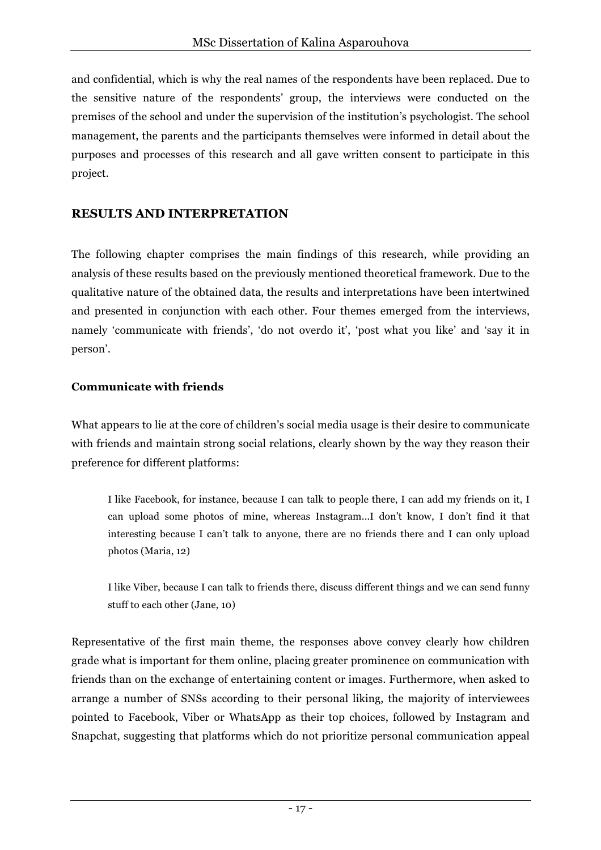and confidential, which is why the real names of the respondents have been replaced. Due to the sensitive nature of the respondents' group, the interviews were conducted on the premises of the school and under the supervision of the institution's psychologist. The school management, the parents and the participants themselves were informed in detail about the purposes and processes of this research and all gave written consent to participate in this project.

## **RESULTS AND INTERPRETATION**

The following chapter comprises the main findings of this research, while providing an analysis of these results based on the previously mentioned theoretical framework. Due to the qualitative nature of the obtained data, the results and interpretations have been intertwined and presented in conjunction with each other. Four themes emerged from the interviews, namely 'communicate with friends', 'do not overdo it', 'post what you like' and 'say it in person'.

#### **Communicate with friends**

What appears to lie at the core of children's social media usage is their desire to communicate with friends and maintain strong social relations, clearly shown by the way they reason their preference for different platforms:

I like Facebook, for instance, because I can talk to people there, I can add my friends on it, I can upload some photos of mine, whereas Instagram...I don't know, I don't find it that interesting because I can't talk to anyone, there are no friends there and I can only upload photos (Maria, 12)

I like Viber, because I can talk to friends there, discuss different things and we can send funny stuff to each other (Jane, 10)

Representative of the first main theme, the responses above convey clearly how children grade what is important for them online, placing greater prominence on communication with friends than on the exchange of entertaining content or images. Furthermore, when asked to arrange a number of SNSs according to their personal liking, the majority of interviewees pointed to Facebook, Viber or WhatsApp as their top choices, followed by Instagram and Snapchat, suggesting that platforms which do not prioritize personal communication appeal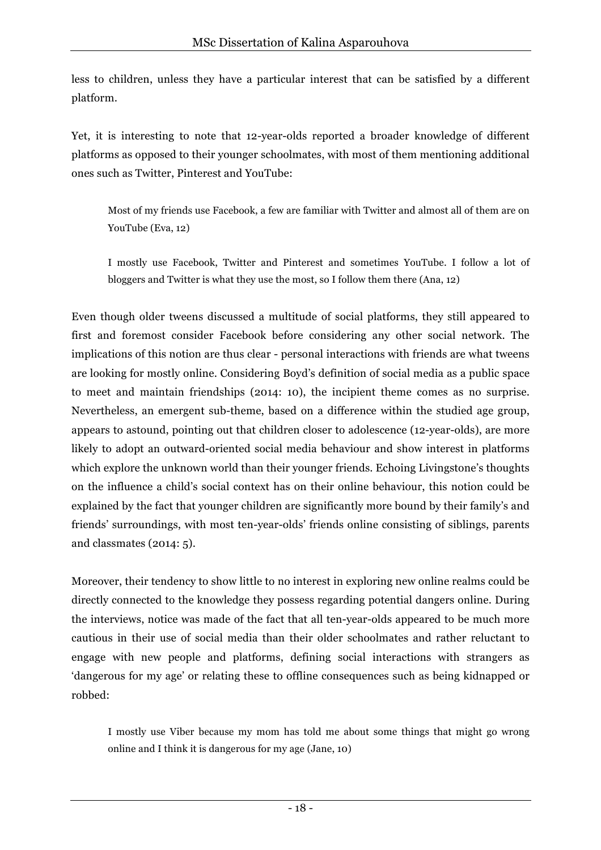less to children, unless they have a particular interest that can be satisfied by a different platform.

Yet, it is interesting to note that 12-year-olds reported a broader knowledge of different platforms as opposed to their younger schoolmates, with most of them mentioning additional ones such as Twitter, Pinterest and YouTube:

Most of my friends use Facebook, a few are familiar with Twitter and almost all of them are on YouTube (Eva, 12)

I mostly use Facebook, Twitter and Pinterest and sometimes YouTube. I follow a lot of bloggers and Twitter is what they use the most, so I follow them there (Ana, 12)

Even though older tweens discussed a multitude of social platforms, they still appeared to first and foremost consider Facebook before considering any other social network. The implications of this notion are thus clear - personal interactions with friends are what tweens are looking for mostly online. Considering Boyd's definition of social media as a public space to meet and maintain friendships (2014: 10), the incipient theme comes as no surprise. Nevertheless, an emergent sub-theme, based on a difference within the studied age group, appears to astound, pointing out that children closer to adolescence (12-year-olds), are more likely to adopt an outward-oriented social media behaviour and show interest in platforms which explore the unknown world than their younger friends. Echoing Livingstone's thoughts on the influence a child's social context has on their online behaviour, this notion could be explained by the fact that younger children are significantly more bound by their family's and friends' surroundings, with most ten-year-olds' friends online consisting of siblings, parents and classmates (2014: 5).

Moreover, their tendency to show little to no interest in exploring new online realms could be directly connected to the knowledge they possess regarding potential dangers online. During the interviews, notice was made of the fact that all ten-year-olds appeared to be much more cautious in their use of social media than their older schoolmates and rather reluctant to engage with new people and platforms, defining social interactions with strangers as 'dangerous for my age' or relating these to offline consequences such as being kidnapped or robbed:

I mostly use Viber because my mom has told me about some things that might go wrong online and I think it is dangerous for my age (Jane, 10)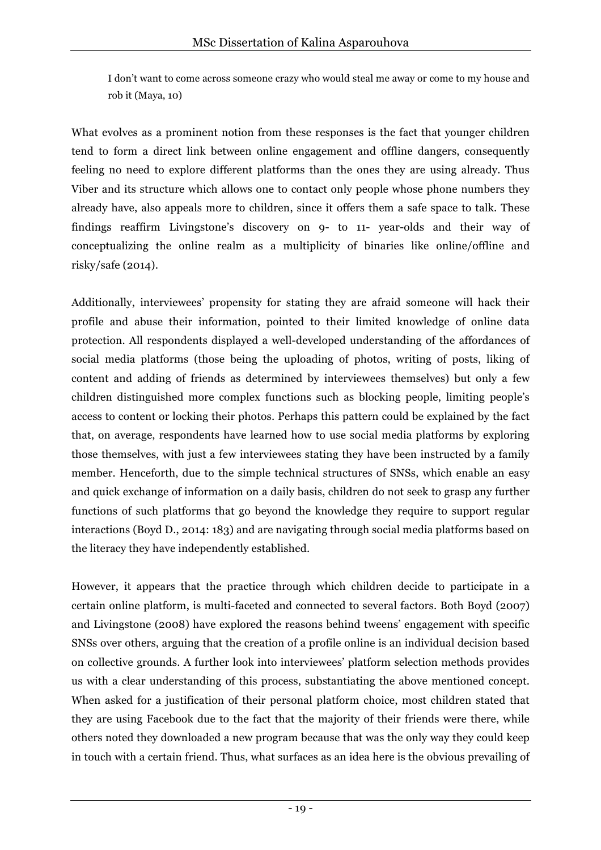I don't want to come across someone crazy who would steal me away or come to my house and rob it (Maya, 10)

What evolves as a prominent notion from these responses is the fact that younger children tend to form a direct link between online engagement and offline dangers, consequently feeling no need to explore different platforms than the ones they are using already. Thus Viber and its structure which allows one to contact only people whose phone numbers they already have, also appeals more to children, since it offers them a safe space to talk. These findings reaffirm Livingstone's discovery on 9- to 11- year-olds and their way of conceptualizing the online realm as a multiplicity of binaries like online/offline and risky/safe (2014).

Additionally, interviewees' propensity for stating they are afraid someone will hack their profile and abuse their information, pointed to their limited knowledge of online data protection. All respondents displayed a well-developed understanding of the affordances of social media platforms (those being the uploading of photos, writing of posts, liking of content and adding of friends as determined by interviewees themselves) but only a few children distinguished more complex functions such as blocking people, limiting people's access to content or locking their photos. Perhaps this pattern could be explained by the fact that, on average, respondents have learned how to use social media platforms by exploring those themselves, with just a few interviewees stating they have been instructed by a family member. Henceforth, due to the simple technical structures of SNSs, which enable an easy and quick exchange of information on a daily basis, children do not seek to grasp any further functions of such platforms that go beyond the knowledge they require to support regular interactions (Boyd D., 2014: 183) and are navigating through social media platforms based on the literacy they have independently established.

However, it appears that the practice through which children decide to participate in a certain online platform, is multi-faceted and connected to several factors. Both Boyd (2007) and Livingstone (2008) have explored the reasons behind tweens' engagement with specific SNSs over others, arguing that the creation of a profile online is an individual decision based on collective grounds. A further look into interviewees' platform selection methods provides us with a clear understanding of this process, substantiating the above mentioned concept. When asked for a justification of their personal platform choice, most children stated that they are using Facebook due to the fact that the majority of their friends were there, while others noted they downloaded a new program because that was the only way they could keep in touch with a certain friend. Thus, what surfaces as an idea here is the obvious prevailing of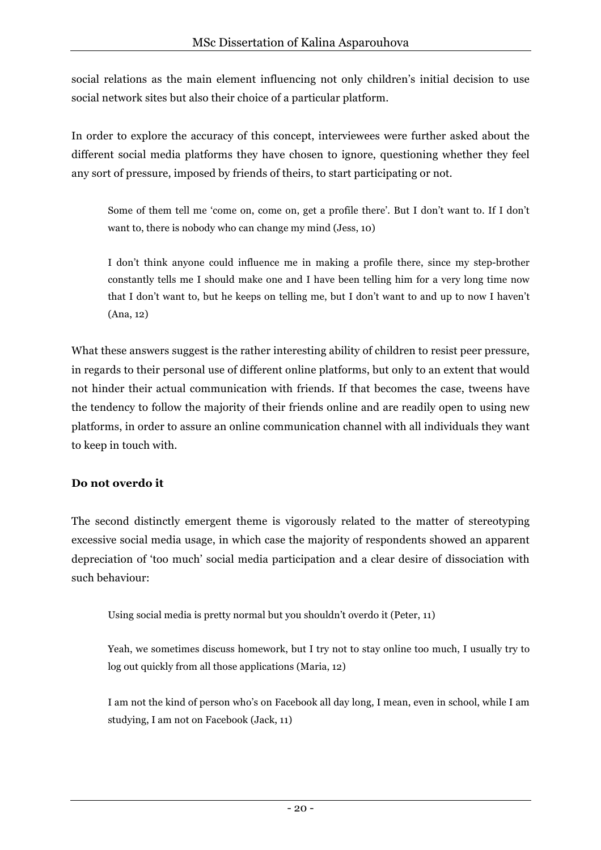social relations as the main element influencing not only children's initial decision to use social network sites but also their choice of a particular platform.

In order to explore the accuracy of this concept, interviewees were further asked about the different social media platforms they have chosen to ignore, questioning whether they feel any sort of pressure, imposed by friends of theirs, to start participating or not.

Some of them tell me 'come on, come on, get a profile there'. But I don't want to. If I don't want to, there is nobody who can change my mind (Jess, 10)

I don't think anyone could influence me in making a profile there, since my step-brother constantly tells me I should make one and I have been telling him for a very long time now that I don't want to, but he keeps on telling me, but I don't want to and up to now I haven't (Ana, 12)

What these answers suggest is the rather interesting ability of children to resist peer pressure, in regards to their personal use of different online platforms, but only to an extent that would not hinder their actual communication with friends. If that becomes the case, tweens have the tendency to follow the majority of their friends online and are readily open to using new platforms, in order to assure an online communication channel with all individuals they want to keep in touch with.

#### **Do not overdo it**

The second distinctly emergent theme is vigorously related to the matter of stereotyping excessive social media usage, in which case the majority of respondents showed an apparent depreciation of 'too much' social media participation and a clear desire of dissociation with such behaviour:

Using social media is pretty normal but you shouldn't overdo it (Peter, 11)

Yeah, we sometimes discuss homework, but I try not to stay online too much, I usually try to log out quickly from all those applications (Maria, 12)

I am not the kind of person who's on Facebook all day long, I mean, even in school, while I am studying, I am not on Facebook (Jack, 11)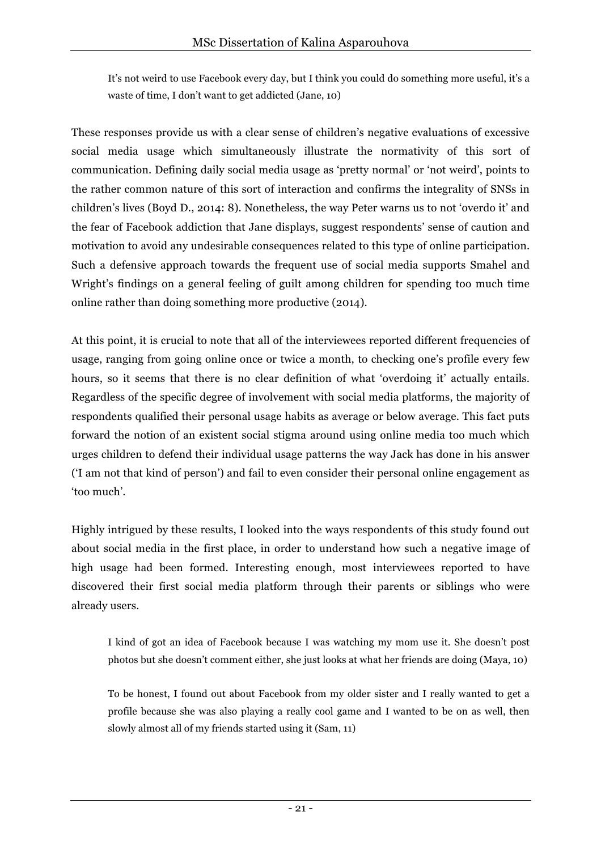It's not weird to use Facebook every day, but I think you could do something more useful, it's a waste of time, I don't want to get addicted (Jane, 10)

These responses provide us with a clear sense of children's negative evaluations of excessive social media usage which simultaneously illustrate the normativity of this sort of communication. Defining daily social media usage as 'pretty normal' or 'not weird', points to the rather common nature of this sort of interaction and confirms the integrality of SNSs in children's lives (Boyd D., 2014: 8). Nonetheless, the way Peter warns us to not 'overdo it' and the fear of Facebook addiction that Jane displays, suggest respondents' sense of caution and motivation to avoid any undesirable consequences related to this type of online participation. Such a defensive approach towards the frequent use of social media supports Smahel and Wright's findings on a general feeling of guilt among children for spending too much time online rather than doing something more productive (2014).

At this point, it is crucial to note that all of the interviewees reported different frequencies of usage, ranging from going online once or twice a month, to checking one's profile every few hours, so it seems that there is no clear definition of what 'overdoing it' actually entails. Regardless of the specific degree of involvement with social media platforms, the majority of respondents qualified their personal usage habits as average or below average. This fact puts forward the notion of an existent social stigma around using online media too much which urges children to defend their individual usage patterns the way Jack has done in his answer ('I am not that kind of person') and fail to even consider their personal online engagement as 'too much'.

Highly intrigued by these results, I looked into the ways respondents of this study found out about social media in the first place, in order to understand how such a negative image of high usage had been formed. Interesting enough, most interviewees reported to have discovered their first social media platform through their parents or siblings who were already users.

I kind of got an idea of Facebook because I was watching my mom use it. She doesn't post photos but she doesn't comment either, she just looks at what her friends are doing (Maya, 10)

To be honest, I found out about Facebook from my older sister and I really wanted to get a profile because she was also playing a really cool game and I wanted to be on as well, then slowly almost all of my friends started using it (Sam, 11)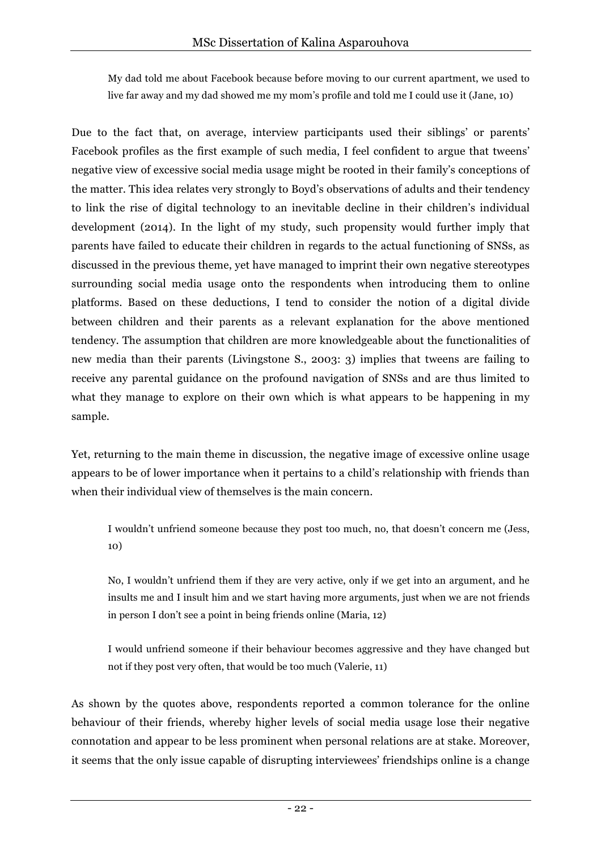My dad told me about Facebook because before moving to our current apartment, we used to live far away and my dad showed me my mom's profile and told me I could use it (Jane, 10)

Due to the fact that, on average, interview participants used their siblings' or parents' Facebook profiles as the first example of such media, I feel confident to argue that tweens' negative view of excessive social media usage might be rooted in their family's conceptions of the matter. This idea relates very strongly to Boyd's observations of adults and their tendency to link the rise of digital technology to an inevitable decline in their children's individual development (2014). In the light of my study, such propensity would further imply that parents have failed to educate their children in regards to the actual functioning of SNSs, as discussed in the previous theme, yet have managed to imprint their own negative stereotypes surrounding social media usage onto the respondents when introducing them to online platforms. Based on these deductions, I tend to consider the notion of a digital divide between children and their parents as a relevant explanation for the above mentioned tendency. The assumption that children are more knowledgeable about the functionalities of new media than their parents (Livingstone S., 2003: 3) implies that tweens are failing to receive any parental guidance on the profound navigation of SNSs and are thus limited to what they manage to explore on their own which is what appears to be happening in my sample.

Yet, returning to the main theme in discussion, the negative image of excessive online usage appears to be of lower importance when it pertains to a child's relationship with friends than when their individual view of themselves is the main concern.

I wouldn't unfriend someone because they post too much, no, that doesn't concern me (Jess, 10)

No, I wouldn't unfriend them if they are very active, only if we get into an argument, and he insults me and I insult him and we start having more arguments, just when we are not friends in person I don't see a point in being friends online (Maria, 12)

I would unfriend someone if their behaviour becomes aggressive and they have changed but not if they post very often, that would be too much (Valerie, 11)

As shown by the quotes above, respondents reported a common tolerance for the online behaviour of their friends, whereby higher levels of social media usage lose their negative connotation and appear to be less prominent when personal relations are at stake. Moreover, it seems that the only issue capable of disrupting interviewees' friendships online is a change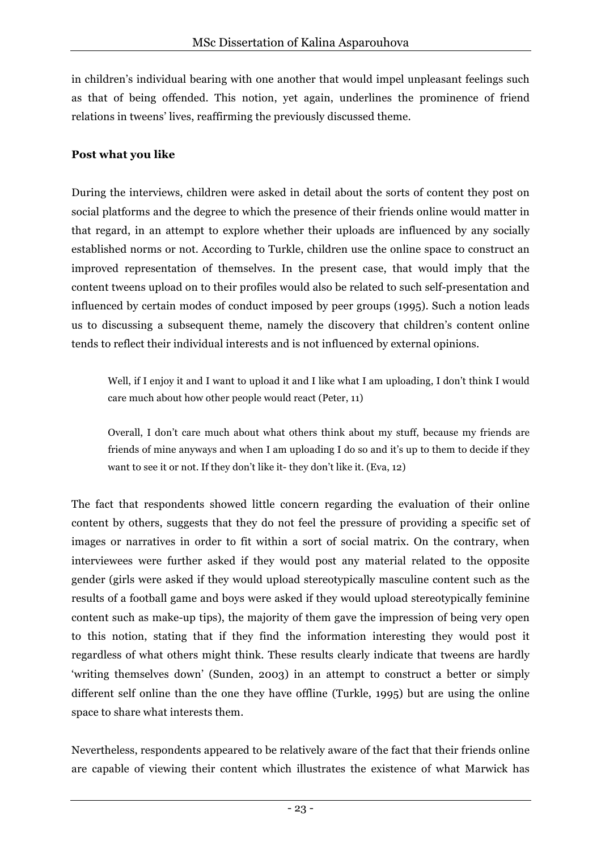in children's individual bearing with one another that would impel unpleasant feelings such as that of being offended. This notion, yet again, underlines the prominence of friend relations in tweens' lives, reaffirming the previously discussed theme.

#### **Post what you like**

During the interviews, children were asked in detail about the sorts of content they post on social platforms and the degree to which the presence of their friends online would matter in that regard, in an attempt to explore whether their uploads are influenced by any socially established norms or not. According to Turkle, children use the online space to construct an improved representation of themselves. In the present case, that would imply that the content tweens upload on to their profiles would also be related to such self-presentation and influenced by certain modes of conduct imposed by peer groups (1995). Such a notion leads us to discussing a subsequent theme, namely the discovery that children's content online tends to reflect their individual interests and is not influenced by external opinions.

Well, if I enjoy it and I want to upload it and I like what I am uploading, I don't think I would care much about how other people would react (Peter, 11)

Overall, I don't care much about what others think about my stuff, because my friends are friends of mine anyways and when I am uploading I do so and it's up to them to decide if they want to see it or not. If they don't like it- they don't like it. (Eva, 12)

The fact that respondents showed little concern regarding the evaluation of their online content by others, suggests that they do not feel the pressure of providing a specific set of images or narratives in order to fit within a sort of social matrix. On the contrary, when interviewees were further asked if they would post any material related to the opposite gender (girls were asked if they would upload stereotypically masculine content such as the results of a football game and boys were asked if they would upload stereotypically feminine content such as make-up tips), the majority of them gave the impression of being very open to this notion, stating that if they find the information interesting they would post it regardless of what others might think. These results clearly indicate that tweens are hardly 'writing themselves down' (Sunden, 2003) in an attempt to construct a better or simply different self online than the one they have offline (Turkle, 1995) but are using the online space to share what interests them.

Nevertheless, respondents appeared to be relatively aware of the fact that their friends online are capable of viewing their content which illustrates the existence of what Marwick has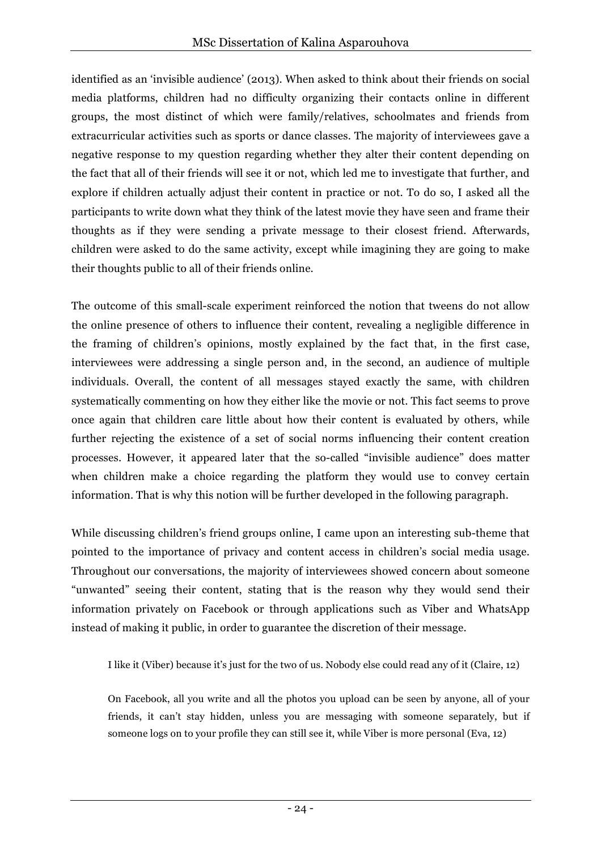identified as an 'invisible audience' (2013). When asked to think about their friends on social media platforms, children had no difficulty organizing their contacts online in different groups, the most distinct of which were family/relatives, schoolmates and friends from extracurricular activities such as sports or dance classes. The majority of interviewees gave a negative response to my question regarding whether they alter their content depending on the fact that all of their friends will see it or not, which led me to investigate that further, and explore if children actually adjust their content in practice or not. To do so, I asked all the participants to write down what they think of the latest movie they have seen and frame their thoughts as if they were sending a private message to their closest friend. Afterwards, children were asked to do the same activity, except while imagining they are going to make their thoughts public to all of their friends online.

The outcome of this small-scale experiment reinforced the notion that tweens do not allow the online presence of others to influence their content, revealing a negligible difference in the framing of children's opinions, mostly explained by the fact that, in the first case, interviewees were addressing a single person and, in the second, an audience of multiple individuals. Overall, the content of all messages stayed exactly the same, with children systematically commenting on how they either like the movie or not. This fact seems to prove once again that children care little about how their content is evaluated by others, while further rejecting the existence of a set of social norms influencing their content creation processes. However, it appeared later that the so-called "invisible audience" does matter when children make a choice regarding the platform they would use to convey certain information. That is why this notion will be further developed in the following paragraph.

While discussing children's friend groups online, I came upon an interesting sub-theme that pointed to the importance of privacy and content access in children's social media usage. Throughout our conversations, the majority of interviewees showed concern about someone "unwanted" seeing their content, stating that is the reason why they would send their information privately on Facebook or through applications such as Viber and WhatsApp instead of making it public, in order to guarantee the discretion of their message.

I like it (Viber) because it's just for the two of us. Nobody else could read any of it (Claire, 12)

On Facebook, all you write and all the photos you upload can be seen by anyone, all of your friends, it can't stay hidden, unless you are messaging with someone separately, but if someone logs on to your profile they can still see it, while Viber is more personal (Eva, 12)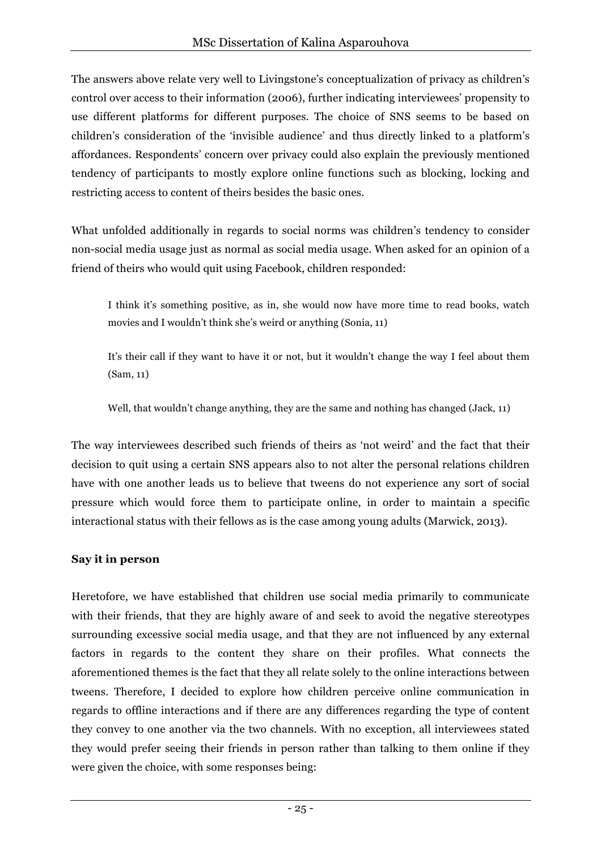The answers above relate very well to Livingstone's conceptualization of privacy as children's control over access to their information (2006), further indicating interviewees' propensity to use different platforms for different purposes. The choice of SNS seems to be based on children's consideration of the 'invisible audience' and thus directly linked to a platform's affordances. Respondents' concern over privacy could also explain the previously mentioned tendency of participants to mostly explore online functions such as blocking, locking and restricting access to content of theirs besides the basic ones.

What unfolded additionally in regards to social norms was children's tendency to consider non-social media usage just as normal as social media usage. When asked for an opinion of a friend of theirs who would quit using Facebook, children responded:

I think it's something positive, as in, she would now have more time to read books, watch movies and I wouldn't think she's weird or anything (Sonia, 11)

It's their call if they want to have it or not, but it wouldn't change the way I feel about them (Sam, 11)

Well, that wouldn't change anything, they are the same and nothing has changed (Jack, 11)

The way interviewees described such friends of theirs as 'not weird' and the fact that their decision to quit using a certain SNS appears also to not alter the personal relations children have with one another leads us to believe that tweens do not experience any sort of social pressure which would force them to participate online, in order to maintain a specific interactional status with their fellows as is the case among young adults (Marwick, 2013).

#### **Say it in person**

Heretofore, we have established that children use social media primarily to communicate with their friends, that they are highly aware of and seek to avoid the negative stereotypes surrounding excessive social media usage, and that they are not influenced by any external factors in regards to the content they share on their profiles. What connects the aforementioned themes is the fact that they all relate solely to the online interactions between tweens. Therefore, I decided to explore how children perceive online communication in regards to offline interactions and if there are any differences regarding the type of content they convey to one another via the two channels. With no exception, all interviewees stated they would prefer seeing their friends in person rather than talking to them online if they were given the choice, with some responses being: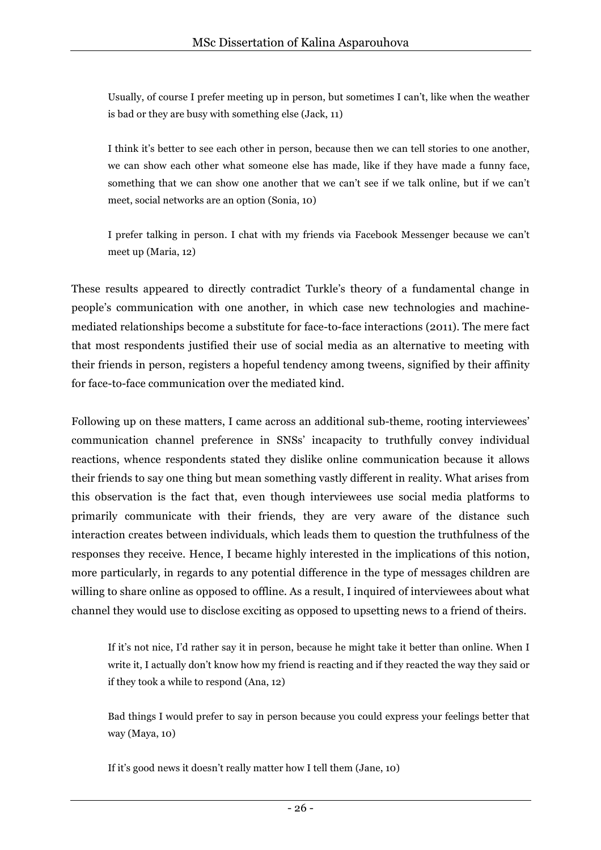Usually, of course I prefer meeting up in person, but sometimes I can't, like when the weather is bad or they are busy with something else (Jack, 11)

I think it's better to see each other in person, because then we can tell stories to one another, we can show each other what someone else has made, like if they have made a funny face, something that we can show one another that we can't see if we talk online, but if we can't meet, social networks are an option (Sonia, 10)

I prefer talking in person. I chat with my friends via Facebook Messenger because we can't meet up (Maria, 12)

These results appeared to directly contradict Turkle's theory of a fundamental change in people's communication with one another, in which case new technologies and machinemediated relationships become a substitute for face-to-face interactions (2011). The mere fact that most respondents justified their use of social media as an alternative to meeting with their friends in person, registers a hopeful tendency among tweens, signified by their affinity for face-to-face communication over the mediated kind.

Following up on these matters, I came across an additional sub-theme, rooting interviewees' communication channel preference in SNSs' incapacity to truthfully convey individual reactions, whence respondents stated they dislike online communication because it allows their friends to say one thing but mean something vastly different in reality. What arises from this observation is the fact that, even though interviewees use social media platforms to primarily communicate with their friends, they are very aware of the distance such interaction creates between individuals, which leads them to question the truthfulness of the responses they receive. Hence, I became highly interested in the implications of this notion, more particularly, in regards to any potential difference in the type of messages children are willing to share online as opposed to offline. As a result, I inquired of interviewees about what channel they would use to disclose exciting as opposed to upsetting news to a friend of theirs.

If it's not nice, I'd rather say it in person, because he might take it better than online. When I write it, I actually don't know how my friend is reacting and if they reacted the way they said or if they took a while to respond (Ana, 12)

Bad things I would prefer to say in person because you could express your feelings better that way (Maya, 10)

If it's good news it doesn't really matter how I tell them (Jane, 10)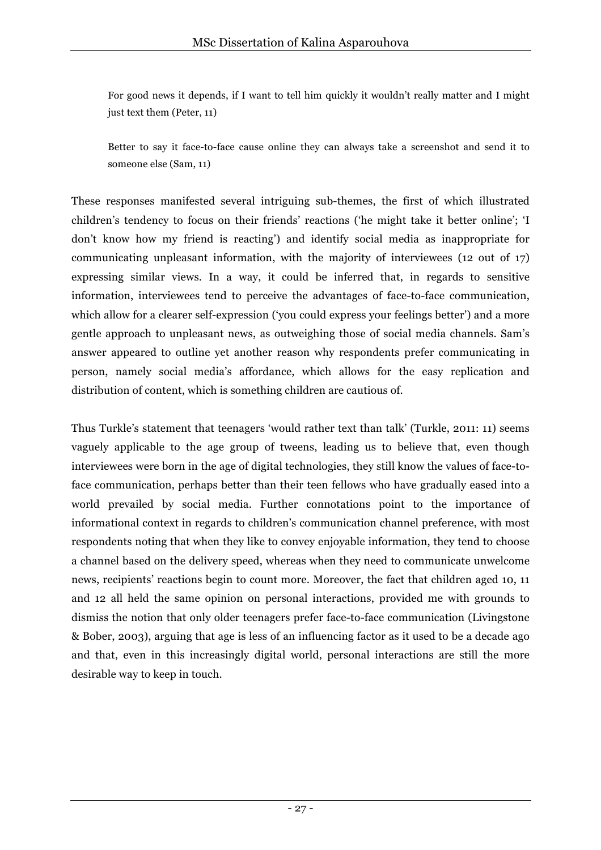For good news it depends, if I want to tell him quickly it wouldn't really matter and I might just text them (Peter, 11)

Better to say it face-to-face cause online they can always take a screenshot and send it to someone else (Sam, 11)

These responses manifested several intriguing sub-themes, the first of which illustrated children's tendency to focus on their friends' reactions ('he might take it better online'; 'I don't know how my friend is reacting') and identify social media as inappropriate for communicating unpleasant information, with the majority of interviewees (12 out of 17) expressing similar views. In a way, it could be inferred that, in regards to sensitive information, interviewees tend to perceive the advantages of face-to-face communication, which allow for a clearer self-expression ('you could express your feelings better') and a more gentle approach to unpleasant news, as outweighing those of social media channels. Sam's answer appeared to outline yet another reason why respondents prefer communicating in person, namely social media's affordance, which allows for the easy replication and distribution of content, which is something children are cautious of.

Thus Turkle's statement that teenagers 'would rather text than talk' (Turkle, 2011: 11) seems vaguely applicable to the age group of tweens, leading us to believe that, even though interviewees were born in the age of digital technologies, they still know the values of face-toface communication, perhaps better than their teen fellows who have gradually eased into a world prevailed by social media. Further connotations point to the importance of informational context in regards to children's communication channel preference, with most respondents noting that when they like to convey enjoyable information, they tend to choose a channel based on the delivery speed, whereas when they need to communicate unwelcome news, recipients' reactions begin to count more. Moreover, the fact that children aged 10, 11 and 12 all held the same opinion on personal interactions, provided me with grounds to dismiss the notion that only older teenagers prefer face-to-face communication (Livingstone & Bober, 2003), arguing that age is less of an influencing factor as it used to be a decade ago and that, even in this increasingly digital world, personal interactions are still the more desirable way to keep in touch.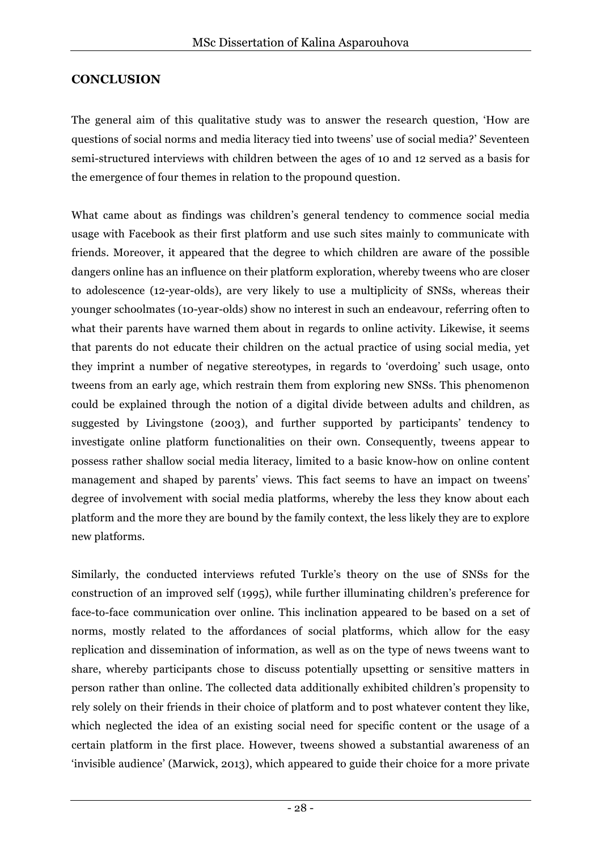## **CONCLUSION**

The general aim of this qualitative study was to answer the research question, 'How are questions of social norms and media literacy tied into tweens' use of social media?' Seventeen semi-structured interviews with children between the ages of 10 and 12 served as a basis for the emergence of four themes in relation to the propound question.

What came about as findings was children's general tendency to commence social media usage with Facebook as their first platform and use such sites mainly to communicate with friends. Moreover, it appeared that the degree to which children are aware of the possible dangers online has an influence on their platform exploration, whereby tweens who are closer to adolescence (12-year-olds), are very likely to use a multiplicity of SNSs, whereas their younger schoolmates (10-year-olds) show no interest in such an endeavour, referring often to what their parents have warned them about in regards to online activity. Likewise, it seems that parents do not educate their children on the actual practice of using social media, yet they imprint a number of negative stereotypes, in regards to 'overdoing' such usage, onto tweens from an early age, which restrain them from exploring new SNSs. This phenomenon could be explained through the notion of a digital divide between adults and children, as suggested by Livingstone (2003), and further supported by participants' tendency to investigate online platform functionalities on their own. Consequently, tweens appear to possess rather shallow social media literacy, limited to a basic know-how on online content management and shaped by parents' views. This fact seems to have an impact on tweens' degree of involvement with social media platforms, whereby the less they know about each platform and the more they are bound by the family context, the less likely they are to explore new platforms.

Similarly, the conducted interviews refuted Turkle's theory on the use of SNSs for the construction of an improved self (1995), while further illuminating children's preference for face-to-face communication over online. This inclination appeared to be based on a set of norms, mostly related to the affordances of social platforms, which allow for the easy replication and dissemination of information, as well as on the type of news tweens want to share, whereby participants chose to discuss potentially upsetting or sensitive matters in person rather than online. The collected data additionally exhibited children's propensity to rely solely on their friends in their choice of platform and to post whatever content they like, which neglected the idea of an existing social need for specific content or the usage of a certain platform in the first place. However, tweens showed a substantial awareness of an 'invisible audience' (Marwick, 2013), which appeared to guide their choice for a more private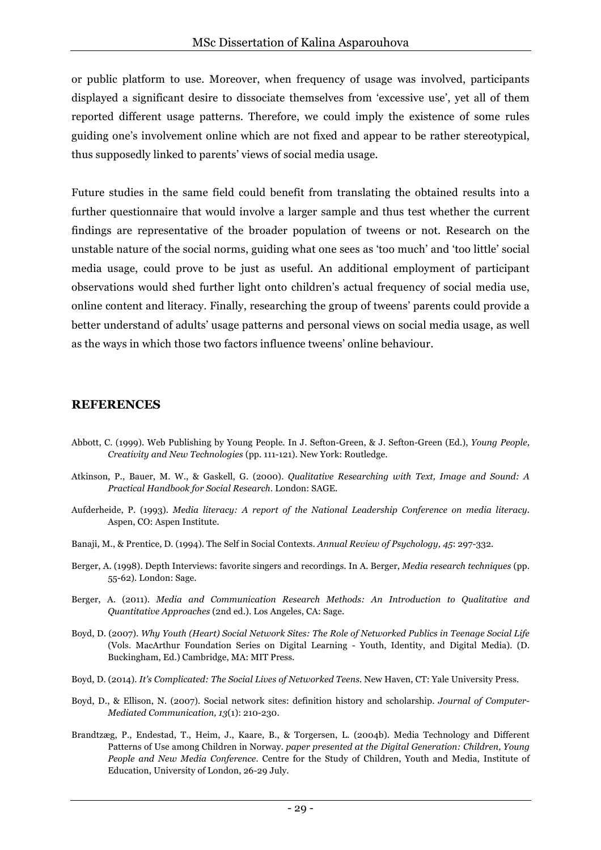or public platform to use. Moreover, when frequency of usage was involved, participants displayed a significant desire to dissociate themselves from 'excessive use', yet all of them reported different usage patterns. Therefore, we could imply the existence of some rules guiding one's involvement online which are not fixed and appear to be rather stereotypical, thus supposedly linked to parents' views of social media usage.

Future studies in the same field could benefit from translating the obtained results into a further questionnaire that would involve a larger sample and thus test whether the current findings are representative of the broader population of tweens or not. Research on the unstable nature of the social norms, guiding what one sees as 'too much' and 'too little' social media usage, could prove to be just as useful. An additional employment of participant observations would shed further light onto children's actual frequency of social media use, online content and literacy. Finally, researching the group of tweens' parents could provide a better understand of adults' usage patterns and personal views on social media usage, as well as the ways in which those two factors influence tweens' online behaviour.

#### **REFERENCES**

- Abbott, C. (1999). Web Publishing by Young People. In J. Sefton-Green, & J. Sefton-Green (Ed.), *Young People, Creativity and New Technologies* (pp. 111-121). New York: Routledge.
- Atkinson, P., Bauer, M. W., & Gaskell, G. (2000). *Qualitative Researching with Text, Image and Sound: A Practical Handbook for Social Research.* London: SAGE.
- Aufderheide, P. (1993). *Media literacy: A report of the National Leadership Conference on media literacy.* Aspen, CO: Aspen Institute.
- Banaji, M., & Prentice, D. (1994). The Self in Social Contexts. *Annual Review of Psychology, 45*: 297-332.
- Berger, A. (1998). Depth Interviews: favorite singers and recordings. In A. Berger, *Media research techniques* (pp. 55-62). London: Sage.
- Berger, A. (2011). *Media and Communication Research Methods: An Introduction to Qualitative and Quantitative Approaches* (2nd ed.). Los Angeles, CA: Sage.
- Boyd, D. (2007). *Why Youth (Heart) Social Network Sites: The Role of Networked Publics in Teenage Social Life* (Vols. MacArthur Foundation Series on Digital Learning - Youth, Identity, and Digital Media). (D. Buckingham, Ed.) Cambridge, MA: MIT Press.
- Boyd, D. (2014). *It's Complicated: The Social Lives of Networked Teens.* New Haven, CT: Yale University Press.
- Boyd, D., & Ellison, N. (2007). Social network sites: definition history and scholarship. *Journal of Computer-Mediated Communication, 13*(1): 210-230.
- Brandtzæg, P., Endestad, T., Heim, J., Kaare, B., & Torgersen, L. (2004b). Media Technology and Different Patterns of Use among Children in Norway. *paper presented at the Digital Generation: Children, Young People and New Media Conference.* Centre for the Study of Children, Youth and Media, Institute of Education, University of London, 26-29 July.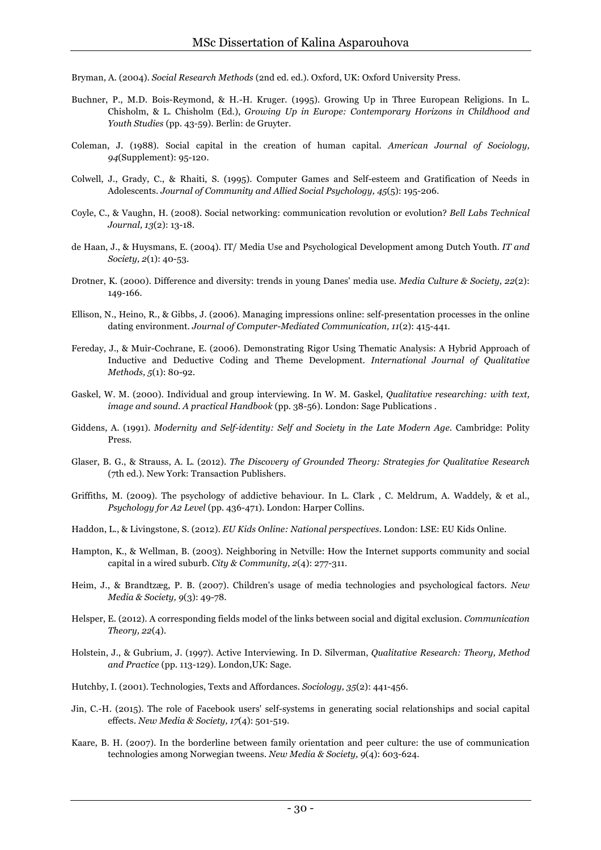Bryman, A. (2004). *Social Research Methods* (2nd ed. ed.). Oxford, UK: Oxford University Press.

- Buchner, P., M.D. Bois-Reymond, & H.-H. Kruger. (1995). Growing Up in Three European Religions. In L. Chisholm, & L. Chisholm (Ed.), *Growing Up in Europe: Contemporary Horizons in Childhood and Youth Studies* (pp. 43-59). Berlin: de Gruyter.
- Coleman, J. (1988). Social capital in the creation of human capital. *American Journal of Sociology, 94*(Supplement): 95-120.
- Colwell, J., Grady, C., & Rhaiti, S. (1995). Computer Games and Self-esteem and Gratification of Needs in Adolescents. *Journal of Community and Allied Social Psychology, 45*(5): 195-206.
- Coyle, C., & Vaughn, H. (2008). Social networking: communication revolution or evolution? *Bell Labs Technical Journal, 13*(2): 13-18.
- de Haan, J., & Huysmans, E. (2004). IT/ Media Use and Psychological Development among Dutch Youth. *IT and Society, 2*(1): 40-53.
- Drotner, K. (2000). Difference and diversity: trends in young Danes' media use. *Media Culture & Society, 22*(2): 149-166.
- Ellison, N., Heino, R., & Gibbs, J. (2006). Managing impressions online: self-presentation processes in the online dating environment. *Journal of Computer-Mediated Communication, 11*(2): 415-441.
- Fereday, J., & Muir-Cochrane, E. (2006). Demonstrating Rigor Using Thematic Analysis: A Hybrid Approach of Inductive and Deductive Coding and Theme Development. *International Journal of Qualitative Methods, 5*(1): 80-92.
- Gaskel, W. M. (2000). Individual and group interviewing. In W. M. Gaskel, *Qualitative researching: with text, image and sound. A practical Handbook* (pp. 38-56). London: Sage Publications .
- Giddens, A. (1991). *Modernity and Self-identity: Self and Society in the Late Modern Age.* Cambridge: Polity Press.
- Glaser, B. G., & Strauss, A. L. (2012). *The Discovery of Grounded Theory: Strategies for Qualitative Research* (7th ed.). New York: Transaction Publishers.
- Griffiths, M. (2009). The psychology of addictive behaviour. In L. Clark , C. Meldrum, A. Waddely, & et al., *Psychology for A2 Level* (pp. 436-471). London: Harper Collins.
- Haddon, L., & Livingstone, S. (2012). *EU Kids Online: National perspectives.* London: LSE: EU Kids Online.
- Hampton, K., & Wellman, B. (2003). Neighboring in Netville: How the Internet supports community and social capital in a wired suburb. *City & Community, 2*(4): 277-311.
- Heim, J., & Brandtzæg, P. B. (2007). Children's usage of media technologies and psychological factors. *New Media & Society, 9*(3): 49-78.
- Helsper, E. (2012). A corresponding fields model of the links between social and digital exclusion. *Communication Theory, 22*(4).
- Holstein, J., & Gubrium, J. (1997). Active Interviewing. In D. Silverman, *Qualitative Research: Theory, Method and Practice* (pp. 113-129). London,UK: Sage.
- Hutchby, I. (2001). Technologies, Texts and Affordances. *Sociology, 35*(2): 441-456.
- Jin, C.-H. (2015). The role of Facebook users' self-systems in generating social relationships and social capital effects. *New Media & Society, 17*(4): 501-519.
- Kaare, B. H. (2007). In the borderline between family orientation and peer culture: the use of communication technologies among Norwegian tweens. *New Media & Society, 9*(4): 603-624.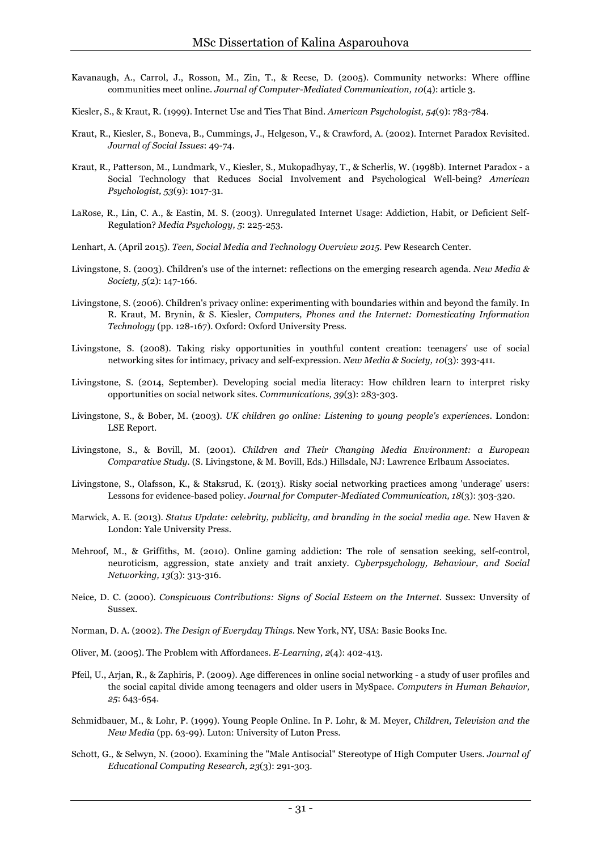- Kavanaugh, A., Carrol, J., Rosson, M., Zin, T., & Reese, D. (2005). Community networks: Where offline communities meet online. *Journal of Computer-Mediated Communication, 10*(4): article 3.
- Kiesler, S., & Kraut, R. (1999). Internet Use and Ties That Bind. *American Psychologist, 54*(9): 783-784.
- Kraut, R., Kiesler, S., Boneva, B., Cummings, J., Helgeson, V., & Crawford, A. (2002). Internet Paradox Revisited. *Journal of Social Issues*: 49-74.
- Kraut, R., Patterson, M., Lundmark, V., Kiesler, S., Mukopadhyay, T., & Scherlis, W. (1998b). Internet Paradox a Social Technology that Reduces Social Involvement and Psychological Well-being? *American Psychologist, 53*(9): 1017-31.
- LaRose, R., Lin, C. A., & Eastin, M. S. (2003). Unregulated Internet Usage: Addiction, Habit, or Deficient Self-Regulation? *Media Psychology, 5*: 225-253.
- Lenhart, A. (April 2015). *Teen, Social Media and Technology Overview 2015.* Pew Research Center.
- Livingstone, S. (2003). Children's use of the internet: reflections on the emerging research agenda. *New Media & Society, 5*(2): 147-166.
- Livingstone, S. (2006). Children's privacy online: experimenting with boundaries within and beyond the family. In R. Kraut, M. Brynin, & S. Kiesler, *Computers, Phones and the Internet: Domesticating Information Technology* (pp. 128-167). Oxford: Oxford University Press.
- Livingstone, S. (2008). Taking risky opportunities in youthful content creation: teenagers' use of social networking sites for intimacy, privacy and self-expression. *New Media & Society, 10*(3): 393-411.
- Livingstone, S. (2014, September). Developing social media literacy: How children learn to interpret risky opportunities on social network sites. *Communications, 39*(3): 283-303.
- Livingstone, S., & Bober, M. (2003). *UK children go online: Listening to young people's experiences.* London: LSE Report.
- Livingstone, S., & Bovill, M. (2001). *Children and Their Changing Media Environment: a European Comparative Study.* (S. Livingstone, & M. Bovill, Eds.) Hillsdale, NJ: Lawrence Erlbaum Associates.
- Livingstone, S., Olafsson, K., & Staksrud, K. (2013). Risky social networking practices among 'underage' users: Lessons for evidence-based policy. *Journal for Computer-Mediated Communication, 18*(3): 303-320.
- Marwick, A. E. (2013). *Status Update: celebrity, publicity, and branding in the social media age.* New Haven & London: Yale University Press.
- Mehroof, M., & Griffiths, M. (2010). Online gaming addiction: The role of sensation seeking, self-control, neuroticism, aggression, state anxiety and trait anxiety. *Cyberpsychology, Behaviour, and Social Networking, 13*(3): 313-316.
- Neice, D. C. (2000). *Conspicuous Contributions: Signs of Social Esteem on the Internet.* Sussex: Unversity of Sussex.
- Norman, D. A. (2002). *The Design of Everyday Things.* New York, NY, USA: Basic Books Inc.
- Oliver, M. (2005). The Problem with Affordances. *E-Learning, 2*(4): 402-413.
- Pfeil, U., Arjan, R., & Zaphiris, P. (2009). Age differences in online social networking a study of user profiles and the social capital divide among teenagers and older users in MySpace. *Computers in Human Behavior, 25*: 643-654.
- Schmidbauer, M., & Lohr, P. (1999). Young People Online. In P. Lohr, & M. Meyer, *Children, Television and the New Media* (pp. 63-99). Luton: University of Luton Press.
- Schott, G., & Selwyn, N. (2000). Examining the "Male Antisocial" Stereotype of High Computer Users. *Journal of Educational Computing Research, 23*(3): 291-303.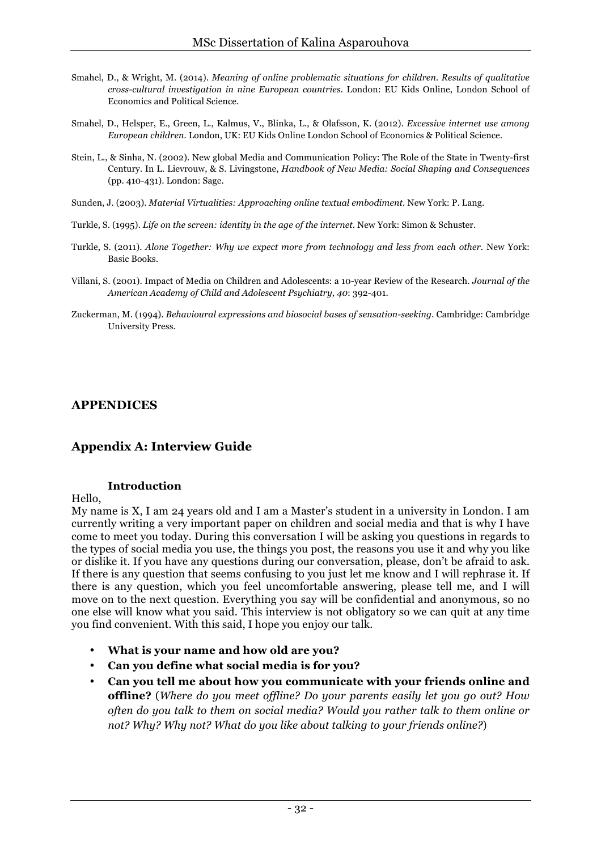- Smahel, D., & Wright, M. (2014). *Meaning of online problematic situations for children. Results of qualitative cross-cultural investigation in nine European countries.* London: EU Kids Online, London School of Economics and Political Science.
- Smahel, D., Helsper, E., Green, L., Kalmus, V., Blinka, L., & Olafsson, K. (2012). *Excessive internet use among European children.* London, UK: EU Kids Online London School of Economics & Political Science.
- Stein, L., & Sinha, N. (2002). New global Media and Communication Policy: The Role of the State in Twenty-first Century. In L. Lievrouw, & S. Livingstone, *Handbook of New Media: Social Shaping and Consequences* (pp. 410-431). London: Sage.
- Sunden, J. (2003). *Material Virtualities: Approaching online textual embodiment.* New York: P. Lang.
- Turkle, S. (1995). *Life on the screen: identity in the age of the internet.* New York: Simon & Schuster.
- Turkle, S. (2011). *Alone Together: Why we expect more from technology and less from each other.* New York: Basic Books.
- Villani, S. (2001). Impact of Media on Children and Adolescents: a 10-year Review of the Research. *Journal of the American Academy of Child and Adolescent Psychiatry, 40*: 392-401.
- Zuckerman, M. (1994). *Behavioural expressions and biosocial bases of sensation-seeking.* Cambridge: Cambridge University Press.

#### **APPENDICES**

#### **Appendix A: Interview Guide**

#### **Introduction**

Hello,

My name is X, I am 24 years old and I am a Master's student in a university in London. I am currently writing a very important paper on children and social media and that is why I have come to meet you today. During this conversation I will be asking you questions in regards to the types of social media you use, the things you post, the reasons you use it and why you like or dislike it. If you have any questions during our conversation, please, don't be afraid to ask. If there is any question that seems confusing to you just let me know and I will rephrase it. If there is any question, which you feel uncomfortable answering, please tell me, and I will move on to the next question. Everything you say will be confidential and anonymous, so no one else will know what you said. This interview is not obligatory so we can quit at any time you find convenient. With this said, I hope you enjoy our talk.

- **What is your name and how old are you?**
- **Can you define what social media is for you?**
- **Can you tell me about how you communicate with your friends online and offline?** (*Where do you meet offline? Do your parents easily let you go out? How often do you talk to them on social media? Would you rather talk to them online or not? Why? Why not? What do you like about talking to your friends online?*)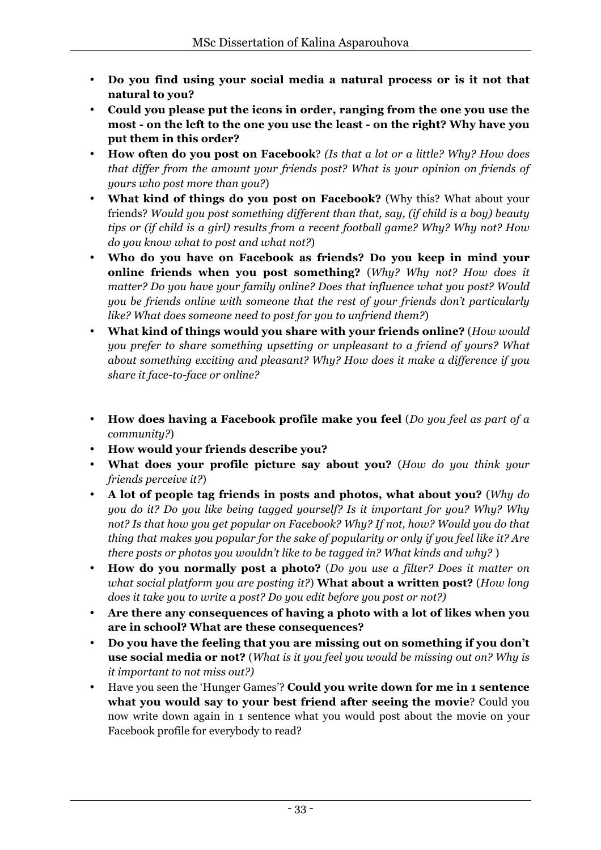- **Do you find using your social media a natural process or is it not that natural to you?**
- **Could you please put the icons in order, ranging from the one you use the most - on the left to the one you use the least - on the right? Why have you put them in this order?**
- **How often do you post on Facebook**? *(Is that a lot or a little? Why? How does that differ from the amount your friends post? What is your opinion on friends of yours who post more than you?*)
- **What kind of things do you post on Facebook?** (Why this? What about your friends? *Would you post something different than that, say, (if child is a boy) beauty tips or (if child is a girl) results from a recent football game? Why? Why not? How do you know what to post and what not?*)
- **Who do you have on Facebook as friends? Do you keep in mind your online friends when you post something?** (*Why? Why not? How does it matter? Do you have your family online? Does that influence what you post? Would you be friends online with someone that the rest of your friends don't particularly like? What does someone need to post for you to unfriend them?*)
- **What kind of things would you share with your friends online?** (*How would you prefer to share something upsetting or unpleasant to a friend of yours? What about something exciting and pleasant? Why? How does it make a difference if you share it face-to-face or online?*
- **How does having a Facebook profile make you feel** (*Do you feel as part of a community?*)
- **How would your friends describe you?**
- **What does your profile picture say about you?** (*How do you think your friends perceive it?*)
- **A lot of people tag friends in posts and photos, what about you?** (*Why do you do it? Do you like being tagged yourself? Is it important for you? Why? Why not? Is that how you get popular on Facebook? Why? If not, how? Would you do that thing that makes you popular for the sake of popularity or only if you feel like it? Are there posts or photos you wouldn't like to be tagged in? What kinds and why?* )
- **How do you normally post a photo?** (*Do you use a filter? Does it matter on what social platform you are posting it?*) **What about a written post?** (*How long does it take you to write a post? Do you edit before you post or not?)*
- **Are there any consequences of having a photo with a lot of likes when you are in school? What are these consequences?**
- **Do you have the feeling that you are missing out on something if you don't use social media or not?** (*What is it you feel you would be missing out on? Why is it important to not miss out?)*
- Have you seen the 'Hunger Games'? **Could you write down for me in 1 sentence what you would say to your best friend after seeing the movie**? Could you now write down again in 1 sentence what you would post about the movie on your Facebook profile for everybody to read?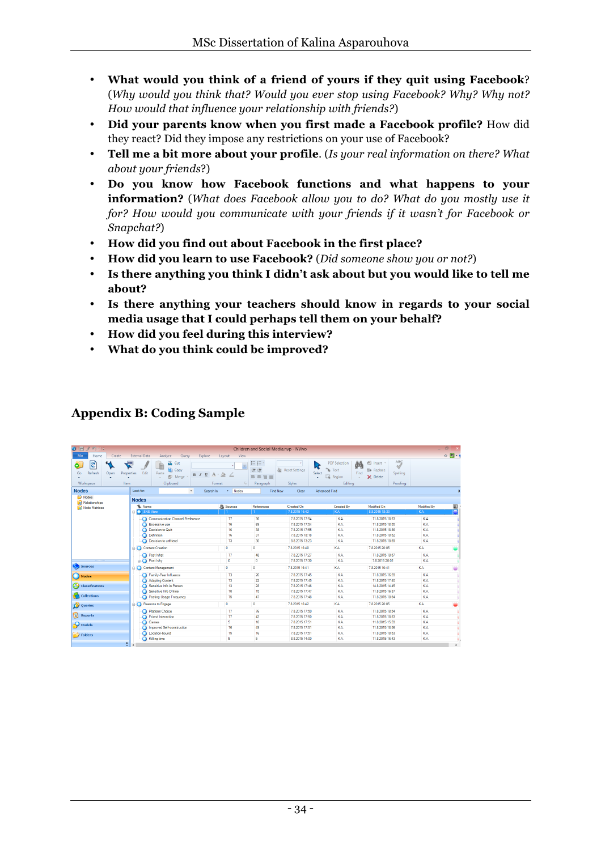- **What would you think of a friend of yours if they quit using Facebook**? (*Why would you think that? Would you ever stop using Facebook? Why? Why not? How would that influence your relationship with friends?*)
- **Did your parents know when you first made a Facebook profile?** How did they react? Did they impose any restrictions on your use of Facebook?
- **Tell me a bit more about your profile**. (*Is your real information on there? What about your friends*?)
- **Do you know how Facebook functions and what happens to your information?** (*What does Facebook allow you to do? What do you mostly use it for? How would you communicate with your friends if it wasn't for Facebook or Snapchat?*)
- **How did you find out about Facebook in the first place?**
- **How did you learn to use Facebook?** (*Did someone show you or not?*)
- **Is there anything you think I didn't ask about but you would like to tell me about?**
- **Is there anything your teachers should know in regards to your social media usage that I could perhaps tell them on your behalf?**
- **How did you feel during this interview?**
- **What do you think could be improved?**

#### **Appendix B: Coding Sample**

| 登旧日<br>$401 - 17$                                                |                                 |                                                        |                                                           |                               | Children and Social Media.nvp - NVivo                                  |                                                                           |                                                                                                  | $\Box$<br>             |                            |
|------------------------------------------------------------------|---------------------------------|--------------------------------------------------------|-----------------------------------------------------------|-------------------------------|------------------------------------------------------------------------|---------------------------------------------------------------------------|--------------------------------------------------------------------------------------------------|------------------------|----------------------------|
| File.<br>Home<br>Create                                          | <b>External Data</b>            | Analyze<br>Query<br>Explore                            | View<br>Layout                                            |                               |                                                                        |                                                                           |                                                                                                  |                        | $\circ$ $\blacksquare$ - ( |
| $\mathbb{S}$<br>Ö.<br>Refresh<br>Go<br>Open<br>Workspace<br>Item | ₽<br>Edit<br>Properties         | & Cut<br>È<br>Copy<br>Paste<br>D<br>Merge<br>Clipboard | $B$ $I$ $U$ $A \cdot \mathcal{D}$<br>$\sqrt{2}$<br>Format | 担任<br>進建<br>事業業員<br>Paragraph | ry.<br><b>Reset Settings</b><br>Bа<br>Select<br>$\mathbf{v}$<br>Styles | 鸸<br><b>PDF</b> Selection<br>Text<br>h.<br>Find<br>п<br>Region<br>Editina | ABÇ<br>el Insert -<br>$\sqrt{ }$<br><b>Ba</b> Replace<br>Spelling<br>$\times$ Delete<br>Proofing |                        |                            |
| <b>Nodes</b>                                                     | Look for:                       | $\star$                                                | Search In<br>Nodes<br>۰                                   |                               | <b>Find Now</b><br>Clear                                               | Advanced Find                                                             |                                                                                                  |                        | $\mathbf{x}$               |
| Nodes<br><b>Relationships</b><br>Node Matrices                   | <b>Nodes</b><br><b>W</b> . Name |                                                        | <b>A</b> Sources                                          | References                    | Created On                                                             | Created By                                                                | Modified On                                                                                      | Modified By            | E                          |
|                                                                  | <b>B</b> SNS View               |                                                        |                                                           |                               | 7.8.2015 16:42                                                         | <b>KA</b>                                                                 | 8.8.2015 18:33                                                                                   | <b>IKA</b>             | г                          |
|                                                                  |                                 | Communication Channel Preference<br>Excessive use      | 17<br>16                                                  | 36<br>69                      | 7.8.2015 17:54<br>7.8.2015 17:54                                       | KA<br><b>KA</b>                                                           | 11.8.2015 18:53<br>11.8.2015 18:55                                                               | KA<br><b>KA</b>        |                            |
|                                                                  |                                 | Decision to Quit                                       | 16                                                        | 38                            | 7.8.2015 17:55                                                         | KA                                                                        | 11.8.2015 18:36                                                                                  | <b>KA</b>              |                            |
|                                                                  |                                 | Definition                                             | 16                                                        | 31                            | 7.8.2015 18:18                                                         | <b>KA</b>                                                                 | 11.8.2015 18:52                                                                                  | <b>KA</b>              |                            |
|                                                                  |                                 | Decision to unfriend                                   | 13                                                        | 30                            | 8.8.2015 13:23                                                         | <b>KA</b>                                                                 | 11.8.2015 18:59                                                                                  | <b>KA</b>              |                            |
|                                                                  | Content Creation                |                                                        | $\bullet$                                                 | $\bullet$                     | 7.8.2015 16:40                                                         | <b>KA</b>                                                                 | 7.8.2015 20:05                                                                                   | KA.                    |                            |
|                                                                  |                                 | <b>O</b> Post What                                     | 17                                                        | 48                            | 7.8.2015 17:27                                                         | <b>KA</b>                                                                 | 11.8.2015 18:57                                                                                  | <b>KA</b>              |                            |
|                                                                  | <b>D</b> Post Why               |                                                        | $\bullet$                                                 | $\mathbf{0}$                  | 7.8.2015 17:30                                                         | <b>KA</b>                                                                 | 7.8.2015 20:02                                                                                   | <b>KA</b>              |                            |
| Sources                                                          |                                 | Content Management                                     | $\bullet$                                                 | $\overline{0}$                | 7.8.2015 16:41                                                         | <b>KA</b>                                                                 | 78 2015 16:41                                                                                    | KA.                    |                            |
| ( ) Nodes                                                        |                                 | Family-Peer Influence                                  | 13                                                        | 26                            | 7.8.2015 17:45                                                         | KA                                                                        | 11.8.2015 16:59                                                                                  | <b>KA</b>              |                            |
|                                                                  |                                 | Adapting Content                                       | 13                                                        | 22                            | 7.8.2015 17:45                                                         | <b>KA</b>                                                                 | 11.8.2015 17:40                                                                                  | <b>KA</b>              |                            |
| (4) Classifications                                              |                                 | Sensitive Info in Person                               | 13                                                        | 28                            | 7.8.2015 17:46                                                         | <b>KA</b>                                                                 | 14.8.2015 14:45                                                                                  | <b>KA</b>              |                            |
| <b>Collections</b>                                               |                                 | Sensitive Info Online                                  | 10                                                        | 15                            | 7.8.2015 17:47                                                         | <b>KA</b>                                                                 | 11.8.2015 16:37                                                                                  | <b>KA</b>              |                            |
|                                                                  | Ω                               | Posting-Usage Frequency                                | 15                                                        | 47                            | 7.8.2015 17:48                                                         | <b>KA</b>                                                                 | 11.8.2015 18:54                                                                                  | <b>KA</b>              |                            |
| Queries                                                          | <b>B</b> Reasons to Engage      |                                                        | $\bullet$                                                 | $\bullet$                     | 7.8.2015 16:42                                                         | <b>KA</b>                                                                 | 7.8.2015 20:05                                                                                   | KA.                    |                            |
|                                                                  |                                 | Platform Choice                                        | 17                                                        | 76                            | 7.8.2015 17:50                                                         | <b>KA</b>                                                                 | 11.8.2015 18:54                                                                                  | <b>KA</b>              |                            |
| B<br>Reports                                                     |                                 | Friend Interaction                                     | 17                                                        | 42                            | 7.8.2015 17:50                                                         | <b>KA</b>                                                                 | 11.8.2015 18:53                                                                                  | <b>KA</b>              |                            |
| Models                                                           | Games                           |                                                        | 5                                                         | 10                            | 7.8.2015 17:51                                                         | <b>KA</b>                                                                 | 11.8.2015 15:59                                                                                  | <b>KA</b>              |                            |
|                                                                  |                                 | Improved Self-construction<br>Location-bound           | 16<br>15                                                  | 49<br>16                      | 7.8.2015 17:51<br>7.8.2015 17:51                                       | KA<br><b>KA</b>                                                           | 11.8.2015 18:56<br>11.8.2015 18:53                                                               | <b>KA</b><br><b>KA</b> |                            |
| 7 Folders                                                        |                                 | <b>O</b> Killing time                                  | 5                                                         | 5                             | 8.8.2015 14:00                                                         | <b>KA</b>                                                                 | 11.8.2015 16:43                                                                                  | <b>KA</b>              |                            |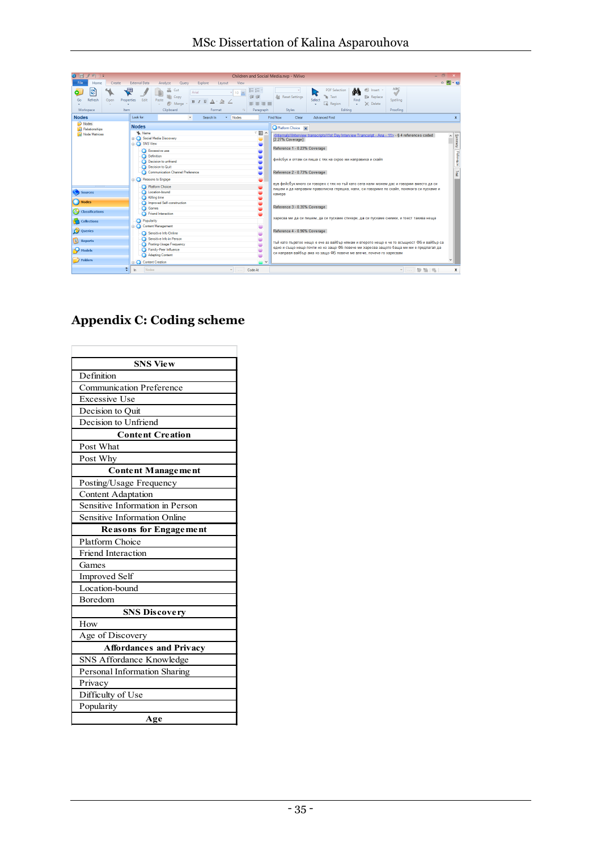| H<br>$-14$                                                        |                                                                                                                                                                                                                                                      | Children and Social Media.nvp - NVivo                           |                                                                                                       |                                                                                                                                                                                                                                                                                                                                                           | $\Box$                                              |                          |
|-------------------------------------------------------------------|------------------------------------------------------------------------------------------------------------------------------------------------------------------------------------------------------------------------------------------------------|-----------------------------------------------------------------|-------------------------------------------------------------------------------------------------------|-----------------------------------------------------------------------------------------------------------------------------------------------------------------------------------------------------------------------------------------------------------------------------------------------------------------------------------------------------------|-----------------------------------------------------|--------------------------|
| Home<br>Create                                                    | <b>External Data</b><br>Analyze<br>Query<br>Explore                                                                                                                                                                                                  | View<br>Lavout                                                  |                                                                                                       |                                                                                                                                                                                                                                                                                                                                                           | $\circ$ $\blacksquare$ $\cdot$ $\boldsymbol{\circ}$ |                          |
| $\mathfrak{S}$<br>0<br>Refresh<br>Open<br>Go<br>Workspace<br>Item | డ<br>ę<br>Cut<br>Arial<br><b>Copy</b><br>Paste<br>Properties<br>Edit<br><b>B</b> J U<br><sup>2</sup> Merge<br>Clipboard                                                                                                                              | 三日<br>$10 -$<br>建建<br>国家商事<br>Paragraph<br>Format<br>$\sqrt{2}$ | <b>Reset Settings</b><br>êα<br><b>Styles</b>                                                          | đâ<br>ell Insert -<br><b>PDF</b> Selection<br><u>ry</u><br>Text<br><b> Replace</b><br>Find<br>Select<br>La Region<br>$\times$ Delete<br>$\ddot{\phantom{1}}$<br>٠<br>Editina                                                                                                                                                                              | ABC<br>$\sqrt{ }$<br>Spelling<br>Proofing           |                          |
| <b>Nodes</b>                                                      | Look for:<br>$\check{}$                                                                                                                                                                                                                              | Nodes<br>Search In<br>÷.                                        | <b>Find Now</b><br>Clear                                                                              | <b>Advanced Find</b>                                                                                                                                                                                                                                                                                                                                      |                                                     | x                        |
| Nodes <sup></sup><br><b>Relationships</b><br>Node Matrices        | <b>Nodes</b><br><b>W.</b> Name<br><b>Bill</b> Social Media Discovery<br><b>B</b> SNS View<br>Excessive use<br>Definition<br>Decision to unfriend<br><b>Decision to Quit</b><br><b>Communication Channel Preference</b><br><b>B</b> Reasons to Engage | ▽圓へ                                                             | Platform Choice x<br>[2.27% Coverage]<br>Reference 1 - 0.23% Coverage<br>Reference 2 - 0.73% Coverage | <internals\\interview -="" 11="" ana="" day="" interview="" trancsript="" transcripts\\1st=""> - § 4 references coded<br/>фейсбук и оттам си пиша с тях на скроо ми направиха и скайп<br/>вув фейсбук много си говорех с тях но тъй като сега нали можем дас и говорим вместо да си</internals\\interview>                                                | $\land$                                             | Summary [Reference   Teg |
| Sources<br>Nodes<br>(A) Classifications                           | Platform Choice<br>Location-bound<br>Killing time<br>Improved Self-construction<br>Games<br><b>Friend Interaction</b>                                                                                                                                |                                                                 | камера<br>Reference 3 - 0.35% Coverage                                                                | пишем и да направим правописна глрешка, нали, си говориме по скайп, понякога си пускаме и                                                                                                                                                                                                                                                                 |                                                     |                          |
| <b>Collections</b><br>Queries<br>Reports<br>Models<br>7 Folders   | Popularity<br>Content Management<br>Sensitive Info Online<br>Sensitive Info in Person<br>Posting-Usage Frequency<br>Family-Peer Influence<br><b>Adapting Content</b>                                                                                 | $\ddot{\phantom{1}}$                                            | Reference 4 - 0.96% Coverage                                                                          | харесва ми да си пишем, да си пускаме стикери, да си пускаме снимки, и тоест такива неща<br>тый като първтоо нещо е ече аз вайбър нямам и второто нещо е че то всъщност ФБ и вайбър са<br>едно и също нещо почти но нз защо ФБ повече ми харесва защото баща ми ми е предлагал да<br>си направя вайбър ама нз защо ФБ повече ме влече, почече го харесвам |                                                     |                          |
| 쫀                                                                 | Content Creation<br>Nodes<br>In.                                                                                                                                                                                                                     | Code At<br><b>Contract</b>                                      |                                                                                                       |                                                                                                                                                                                                                                                                                                                                                           | -  参照局                                              | x                        |

T.

## **Appendix C: Coding scheme**

 $\overline{\phantom{a}}$ 

| <b>SNS View</b>                     |  |  |  |
|-------------------------------------|--|--|--|
| Definition                          |  |  |  |
| <b>Communication Preference</b>     |  |  |  |
| <b>Excessive Use</b>                |  |  |  |
| Decision to Ouit                    |  |  |  |
| Decision to Unfriend                |  |  |  |
| <b>Content Creation</b>             |  |  |  |
| Post What                           |  |  |  |
| Post Why                            |  |  |  |
| <b>Content Management</b>           |  |  |  |
| Posting/Usage Frequency             |  |  |  |
| <b>Content Adaptation</b>           |  |  |  |
| Sensitive Information in Person     |  |  |  |
| <b>Sensitive Information Online</b> |  |  |  |
| <b>Reasons for Engagement</b>       |  |  |  |
| <b>Platform Choice</b>              |  |  |  |
| <b>Friend Interaction</b>           |  |  |  |
| Games                               |  |  |  |
| <b>Improved Self</b>                |  |  |  |
| Location-bound                      |  |  |  |
| Boredom                             |  |  |  |
| <b>SNS Discovery</b>                |  |  |  |
| How                                 |  |  |  |
| Age of Discovery                    |  |  |  |
| <b>Affordances and Privacy</b>      |  |  |  |
| SNS Affordance Knowledge            |  |  |  |
| Personal Information Sharing        |  |  |  |
| Privacy                             |  |  |  |
| Difficulty of Use                   |  |  |  |
| Popularity                          |  |  |  |
| Age                                 |  |  |  |